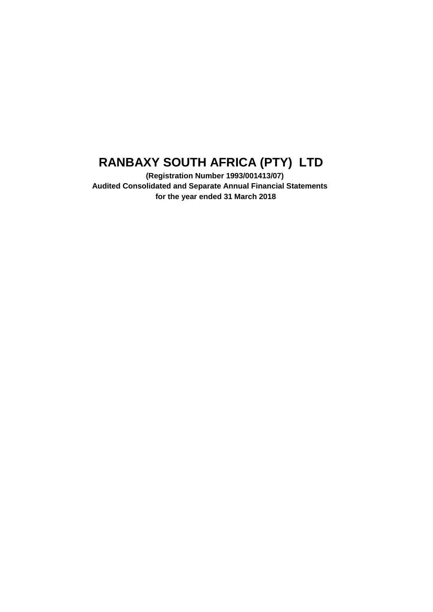**(Registration Number 1993/001413/07) Audited Consolidated and Separate Annual Financial Statements for the year ended 31 March 2018**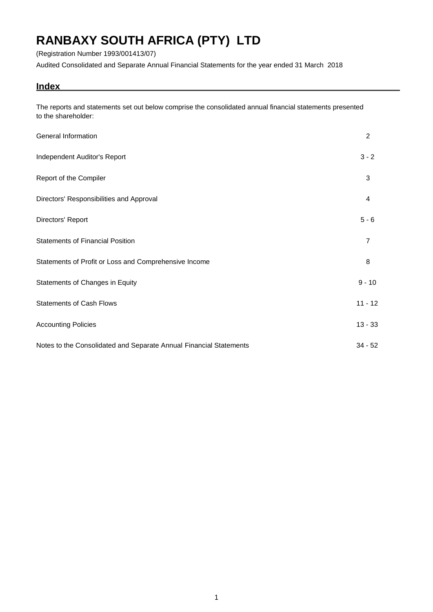(Registration Number 1993/001413/07)

Audited Consolidated and Separate Annual Financial Statements for the year ended 31 March 2018

#### **Index**

The reports and statements set out below comprise the consolidated annual financial statements presented to the shareholder:

| <b>General Information</b>                                         | $\overline{2}$ |
|--------------------------------------------------------------------|----------------|
| Independent Auditor's Report                                       | $3 - 2$        |
| Report of the Compiler                                             | 3              |
| Directors' Responsibilities and Approval                           | 4              |
| Directors' Report                                                  | $5 - 6$        |
| <b>Statements of Financial Position</b>                            | $\overline{7}$ |
| Statements of Profit or Loss and Comprehensive Income              | 8              |
| Statements of Changes in Equity                                    | $9 - 10$       |
| <b>Statements of Cash Flows</b>                                    | $11 - 12$      |
| <b>Accounting Policies</b>                                         | $13 - 33$      |
| Notes to the Consolidated and Separate Annual Financial Statements | $34 - 52$      |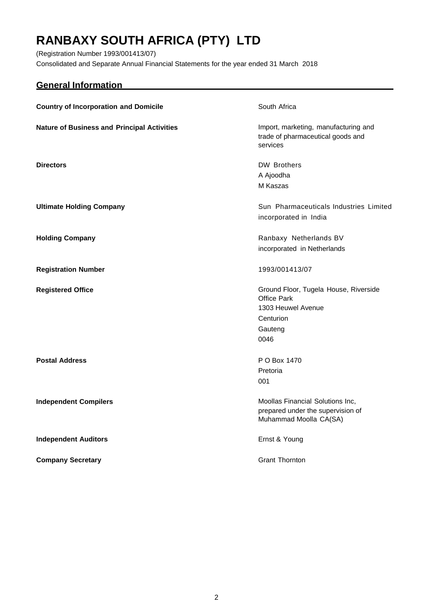(Registration Number 1993/001413/07)

Consolidated and Separate Annual Financial Statements for the year ended 31 March 2018

## <span id="page-2-0"></span>**General Information Country of Incorporation and Domicile South Africa** South Africa **Nature of Business and Principal Activities Integral 1 and Import, marketing, manufacturing and** trade of pharmaceutical goods and services **Directors** DW Brothers **DW** Brothers **DW** Brothers A Ajoodha M Kaszas **Ultimate Holding Company Sun Pharmaceuticals Industries Limited** Sun Pharmaceuticals Industries Limited incorporated in India **Holding Company Company Company Ranbaxy Netherlands BV** incorporated in Netherlands **Registration Number** 1993/001413/07 **Registered Office Ground Floor, Tugela House, Riverside Ground Floor, Tugela House, Riverside** Office Park 1303 Heuwel Avenue **Centurion Gauteng** 0046 **Postal Address** P O Box 1470 Pretoria 001 **Independent Compilers Moollas Financial Solutions Inc,** prepared under the supervision of Muhammad Moolla CA(SA) **Independent Auditors Example 20 and 20 and 20 and 20 and 20 and 20 and 20 and 20 and 20 and 20 and 20 and 20 and 20 and 20 and 20 and 20 and 20 and 20 and 20 and 20 and 20 and 20 and 20 and 20 and 20 and 20 and 20 and 2 Company Secretary** Grant Thornton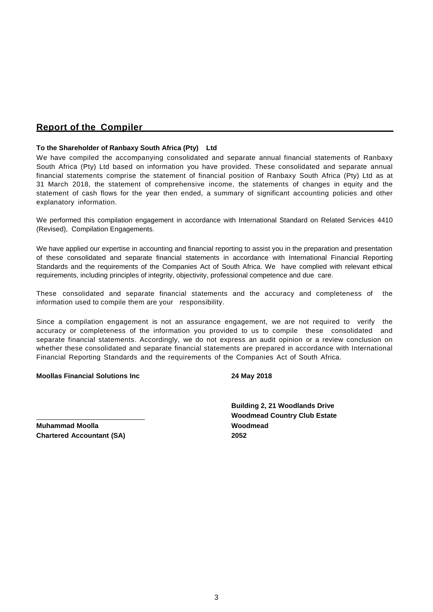### <span id="page-3-0"></span>**Report of the Compiler**

#### **To the Shareholder of Ranbaxy South Africa (Pty) Ltd**

We have compiled the accompanying consolidated and separate annual financial statements of Ranbaxy South Africa (Pty) Ltd based on information you have provided. These consolidated and separate annual financial statements comprise the statement of financial position of Ranbaxy South Africa (Pty) Ltd as at 31 March 2018, the statement of comprehensive income, the statements of changes in equity and the statement of cash flows for the year then ended, a summary of significant accounting policies and other explanatory information.

We performed this compilation engagement in accordance with International Standard on Related Services 4410 (Revised), Compilation Engagements.

We have applied our expertise in accounting and financial reporting to assist you in the preparation and presentation of these consolidated and separate financial statements in accordance with International Financial Reporting Standards and the requirements of the Companies Act of South Africa. We have complied with relevant ethical requirements, including principles of integrity, objectivity, professional competence and due care.

These consolidated and separate financial statements and the accuracy and completeness of the information used to compile them are your responsibility.

Since a compilation engagement is not an assurance engagement, we are not required to verify the accuracy or completeness of the information you provided to us to compile these consolidated and separate financial statements. Accordingly, we do not express an audit opinion or a review conclusion on whether these consolidated and separate financial statements are prepared in accordance with International Financial Reporting Standards and the requirements of the Companies Act of South Africa.

#### **Moollas Financial Solutions Inc 24 May 2018**

**Building 2, 21 Woodlands Drive Woodmead Country Club Estate**

**Muhammad Moolla Woodmead Chartered Accountant (SA) 2052**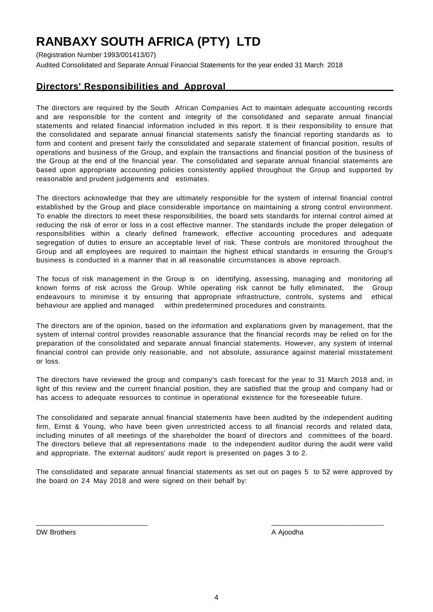(Registration Number 1993/001413/07)

Audited Consolidated and Separate Annual Financial Statements for the year ended 31 March 2018

### <span id="page-4-0"></span>**Directors' Responsibilities and Approval**

The directors are required by the South African Companies Act to maintain adequate accounting records and are responsible for the content and integrity of the consolidated and separate annual financial statements and related financial information included in this report. It is their responsibility to ensure that the consolidated and separate annual financial statements satisfy the financial reporting standards as to form and content and present fairly the consolidated and separate statement of financial position, results of operations and business of the Group, and explain the transactions and financial position of the business of the Group at the end of the financial year. The consolidated and separate annual financial statements are based upon appropriate accounting policies consistently applied throughout the Group and supported by reasonable and prudent judgements and estimates.

The directors acknowledge that they are ultimately responsible for the system of internal financial control established by the Group and place considerable importance on maintaining a strong control environment. To enable the directors to meet these responsibilities, the board sets standards for internal control aimed at reducing the risk of error or loss in a cost effective manner. The standards include the proper delegation of responsibilities within a clearly defined framework, effective accounting procedures and adequate segregation of duties to ensure an acceptable level of risk. These controls are monitored throughout the Group and all employees are required to maintain the highest ethical standards in ensuring the Group's business is conducted in a manner that in all reasonable circumstances is above reproach.

The focus of risk management in the Group is on identifying, assessing, managing and monitoring all known forms of risk across the Group. While operating risk cannot be fully eliminated, the Group endeavours to minimise it by ensuring that appropriate infrastructure, controls, systems and ethical behaviour are applied and managed within predetermined procedures and constraints.

The directors are of the opinion, based on the information and explanations given by management, that the system of internal control provides reasonable assurance that the financial records may be relied on for the preparation of the consolidated and separate annual financial statements. However, any system of internal financial control can provide only reasonable, and not absolute, assurance against material misstatement or loss.

The directors have reviewed the group and company's cash forecast for the year to 31 March 2018 and, in light of this review and the current financial position, they are satisfied that the group and company had or has access to adequate resources to continue in operational existence for the foreseeable future.

The consolidated and separate annual financial statements have been audited by the independent auditing firm, Ernst & Young, who have been given unrestricted access to all financial records and related data, including minutes of all meetings of the shareholder the board of directors and committees of the board. The directors believe that all representations made to the independent auditor during the audit were valid and appropriate. The external auditors' audit report is presented on pages 3 to 2.

The consolidated and separate annual financial statements as set out on pages 5 to 52 were approved by the board on 24 May 2018 and were signed on their behalf by:

\_\_\_\_\_\_\_\_\_\_\_\_\_\_\_\_\_\_\_\_\_\_\_\_\_\_\_ \_\_\_\_\_\_\_\_\_\_\_\_\_\_\_\_\_\_\_\_\_\_\_\_\_\_\_

DW Brothers A Ajoodha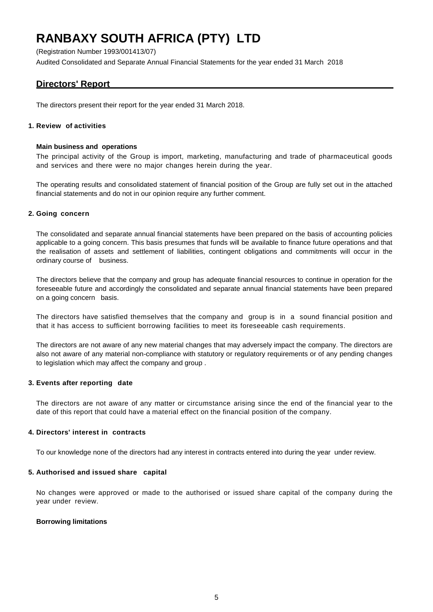(Registration Number 1993/001413/07)

Audited Consolidated and Separate Annual Financial Statements for the year ended 31 March 2018

#### <span id="page-5-0"></span>**Directors' Report**

The directors present their report for the year ended 31 March 2018.

#### **1. Review of activities**

#### **Main business and operations**

The principal activity of the Group is import, marketing, manufacturing and trade of pharmaceutical goods and services and there were no major changes herein during the year.

The operating results and consolidated statement of financial position of the Group are fully set out in the attached financial statements and do not in our opinion require any further comment.

#### **2. Going concern**

The consolidated and separate annual financial statements have been prepared on the basis of accounting policies applicable to a going concern. This basis presumes that funds will be available to finance future operations and that the realisation of assets and settlement of liabilities, contingent obligations and commitments will occur in the ordinary course of business.

The directors believe that the company and group has adequate financial resources to continue in operation for the foreseeable future and accordingly the consolidated and separate annual financial statements have been prepared on a going concern basis.

The directors have satisfied themselves that the company and group is in a sound financial position and that it has access to sufficient borrowing facilities to meet its foreseeable cash requirements.

The directors are not aware of any new material changes that may adversely impact the company. The directors are also not aware of any material non-compliance with statutory or regulatory requirements or of any pending changes to legislation which may affect the company and group .

#### **3. Events after reporting date**

The directors are not aware of any matter or circumstance arising since the end of the financial year to the date of this report that could have a material effect on the financial position of the company.

#### **4. Directors' interest in contracts**

To our knowledge none of the directors had any interest in contracts entered into during the year under review.

#### **5. Authorised and issued share capital**

No changes were approved or made to the authorised or issued share capital of the company during the year under review.

#### **Borrowing limitations**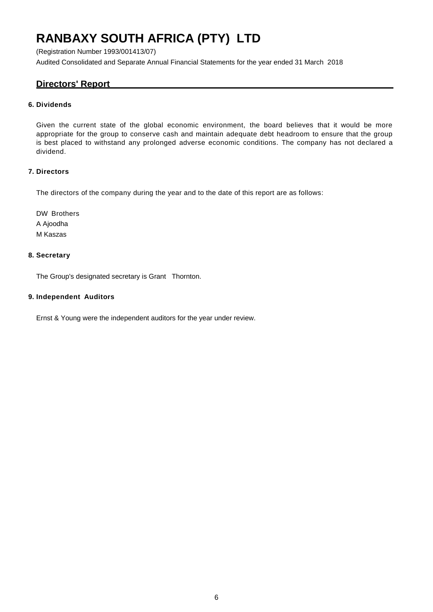(Registration Number 1993/001413/07)

Audited Consolidated and Separate Annual Financial Statements for the year ended 31 March 2018

#### **Directors' Report**

#### **6. Dividends**

Given the current state of the global economic environment, the board believes that it would be more appropriate for the group to conserve cash and maintain adequate debt headroom to ensure that the group is best placed to withstand any prolonged adverse economic conditions. The company has not declared a dividend.

#### **7. Directors**

The directors of the company during the year and to the date of this report are as follows:

DW Brothers A Ajoodha M Kaszas

#### **8. Secretary**

The Group's designated secretary is Grant Thornton.

#### **9. Independent Auditors**

Ernst & Young were the independent auditors for the year under review.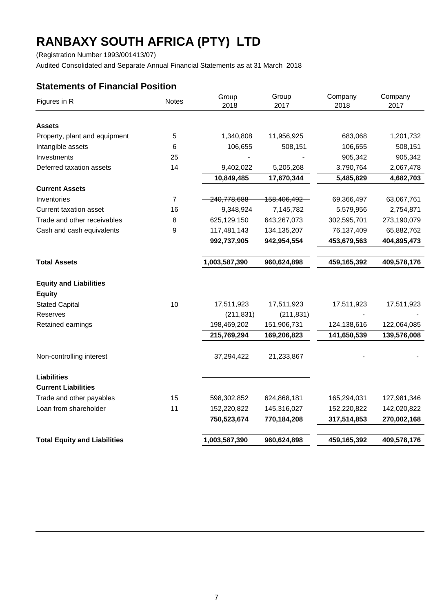(Registration Number 1993/001413/07)

Audited Consolidated and Separate Annual Financial Statements as at 31 March 2018

### <span id="page-7-0"></span>**Statements of Financial Position**

| Figures in R                        | <b>Notes</b>   | Group<br>2018 | Group<br>2017 | Company<br>2018 | Company<br>2017 |
|-------------------------------------|----------------|---------------|---------------|-----------------|-----------------|
|                                     |                |               |               |                 |                 |
| <b>Assets</b>                       |                |               |               |                 |                 |
| Property, plant and equipment       | 5              | 1,340,808     | 11,956,925    | 683,068         | 1,201,732       |
| Intangible assets                   | 6              | 106,655       | 508,151       | 106,655         | 508,151         |
| Investments                         | 25             |               |               | 905,342         | 905,342         |
| Deferred taxation assets            | 14             | 9,402,022     | 5,205,268     | 3,790,764       | 2,067,478       |
|                                     |                | 10,849,485    | 17,670,344    | 5,485,829       | 4,682,703       |
| <b>Current Assets</b>               |                |               |               |                 |                 |
| Inventories                         | $\overline{7}$ | 240,778,688   | 158,406,492   | 69,366,497      | 63,067,761      |
| Current taxation asset              | 16             | 9,348,924     | 7,145,782     | 5,579,956       | 2,754,871       |
| Trade and other receivables         | 8              | 625,129,150   | 643,267,073   | 302,595,701     | 273,190,079     |
| Cash and cash equivalents           | 9              | 117,481,143   | 134, 135, 207 | 76,137,409      | 65,882,762      |
|                                     |                | 992,737,905   | 942,954,554   | 453,679,563     | 404,895,473     |
| <b>Total Assets</b>                 |                | 1,003,587,390 | 960,624,898   | 459,165,392     | 409,578,176     |
| <b>Equity and Liabilities</b>       |                |               |               |                 |                 |
| <b>Equity</b>                       |                |               |               |                 |                 |
| <b>Stated Capital</b>               | 10             | 17,511,923    | 17,511,923    | 17,511,923      | 17,511,923      |
| Reserves                            |                | (211, 831)    | (211, 831)    |                 |                 |
| Retained earnings                   |                | 198,469,202   | 151,906,731   | 124,138,616     | 122,064,085     |
|                                     |                | 215,769,294   | 169,206,823   | 141,650,539     | 139,576,008     |
| Non-controlling interest            |                | 37,294,422    | 21,233,867    |                 |                 |
| <b>Liabilities</b>                  |                |               |               |                 |                 |
| <b>Current Liabilities</b>          |                |               |               |                 |                 |
| Trade and other payables            | 15             | 598,302,852   | 624,868,181   | 165,294,031     | 127,981,346     |
| Loan from shareholder               | 11             | 152,220,822   | 145,316,027   | 152,220,822     | 142,020,822     |
|                                     |                | 750,523,674   | 770,184,208   | 317,514,853     | 270,002,168     |
| <b>Total Equity and Liabilities</b> |                | 1,003,587,390 | 960,624,898   | 459,165,392     | 409,578,176     |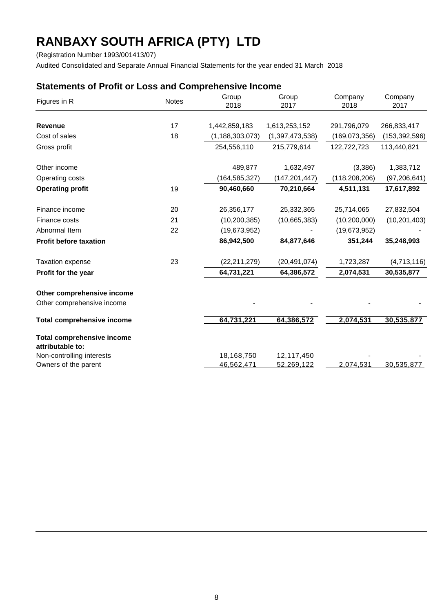(Registration Number 1993/001413/07)

Audited Consolidated and Separate Annual Financial Statements for the year ended 31 March 2018

### <span id="page-8-0"></span>**Statements of Profit or Loss and Comprehensive Income**

| Figures in R                                          | <b>Notes</b> | Group<br>2018      | Group<br>2017   | Company<br>2018 | Company<br>2017 |
|-------------------------------------------------------|--------------|--------------------|-----------------|-----------------|-----------------|
|                                                       |              |                    |                 |                 |                 |
| <b>Revenue</b>                                        | 17           | 1,442,859,183      | 1,613,253,152   | 291,796,079     | 266,833,417     |
| Cost of sales                                         | 18           | (1, 188, 303, 073) | (1,397,473,538) | (169, 073, 356) | (153, 392, 596) |
| Gross profit                                          |              | 254,556,110        | 215,779,614     | 122,722,723     | 113,440,821     |
| Other income                                          |              | 489,877            | 1,632,497       | (3,386)         | 1,383,712       |
| Operating costs                                       |              | (164, 585, 327)    | (147, 201, 447) | (118, 208, 206) | (97, 206, 641)  |
| <b>Operating profit</b>                               | 19           | 90,460,660         | 70,210,664      | 4,511,131       | 17,617,892      |
| Finance income                                        | 20           | 26,356,177         | 25,332,365      | 25,714,065      | 27,832,504      |
| Finance costs                                         | 21           | (10, 200, 385)     | (10,665,383)    | (10, 200, 000)  | (10, 201, 403)  |
| Abnormal Item                                         | 22           | (19,673,952)       |                 | (19,673,952)    |                 |
| <b>Profit before taxation</b>                         |              | 86,942,500         | 84,877,646      | 351,244         | 35,248,993      |
| <b>Taxation expense</b>                               | 23           | (22, 211, 279)     | (20, 491, 074)  | 1,723,287       | (4,713,116)     |
| Profit for the year                                   |              | 64,731,221         | 64,386,572      | 2,074,531       | 30,535,877      |
| Other comprehensive income                            |              |                    |                 |                 |                 |
| Other comprehensive income                            |              |                    |                 |                 |                 |
| <b>Total comprehensive income</b>                     |              | 64.731.221         | 64,386.572      | 2.074.531       | 30.535.877      |
| <b>Total comprehensive income</b><br>attributable to: |              |                    |                 |                 |                 |
| Non-controlling interests                             |              | 18,168,750         | 12,117,450      |                 |                 |
| Owners of the parent                                  |              | 46,562,471         | 52,269,122      | 2,074,531       | 30,535,877      |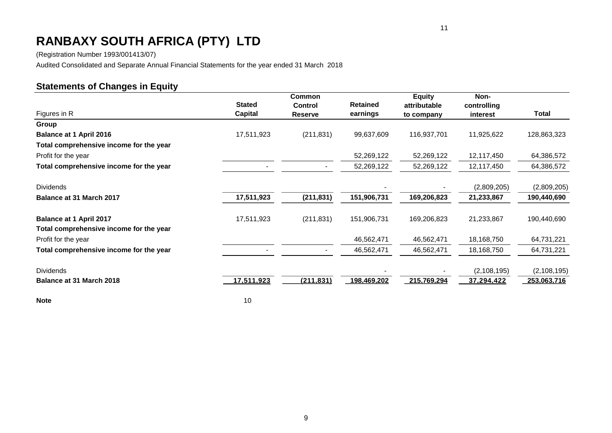(Registration Number 1993/001413/07)

Audited Consolidated and Separate Annual Financial Statements for the year ended 31 March 2018

### **Statements of Changes in Equity**

|                                         |                          | <b>Common</b>  |                 | <b>Equity</b> | Non-          |               |
|-----------------------------------------|--------------------------|----------------|-----------------|---------------|---------------|---------------|
|                                         | <b>Stated</b>            | <b>Control</b> | <b>Retained</b> | attributable  | controlling   |               |
| Figures in R                            | <b>Capital</b>           | Reserve        | earnings        | to company    | interest      | Total         |
| Group                                   |                          |                |                 |               |               |               |
| <b>Balance at 1 April 2016</b>          | 17,511,923               | (211, 831)     | 99,637,609      | 116,937,701   | 11,925,622    | 128,863,323   |
| Total comprehensive income for the year |                          |                |                 |               |               |               |
| Profit for the year                     |                          |                | 52,269,122      | 52,269,122    | 12,117,450    | 64,386,572    |
| Total comprehensive income for the year |                          |                | 52,269,122      | 52,269,122    | 12,117,450    | 64,386,572    |
| <b>Dividends</b>                        |                          |                |                 |               | (2,809,205)   | (2,809,205)   |
| Balance at 31 March 2017                | 17,511,923               | (211, 831)     | 151,906,731     | 169,206,823   | 21,233,867    | 190,440,690   |
| <b>Balance at 1 April 2017</b>          | 17,511,923               | (211, 831)     | 151,906,731     | 169,206,823   | 21,233,867    | 190,440,690   |
| Total comprehensive income for the year |                          |                |                 |               |               |               |
| Profit for the year                     |                          |                | 46,562,471      | 46,562,471    | 18,168,750    | 64,731,221    |
| Total comprehensive income for the year | $\overline{\phantom{a}}$ |                | 46,562,471      | 46,562,471    | 18,168,750    | 64,731,221    |
| <b>Dividends</b>                        |                          |                |                 |               | (2, 108, 195) | (2, 108, 195) |
| Balance at 31 March 2018                | 17,511,923               | (211.831)      | 198,469,202     | 215,769,294   | 37,294,422    | 253,063,716   |

**Note** 10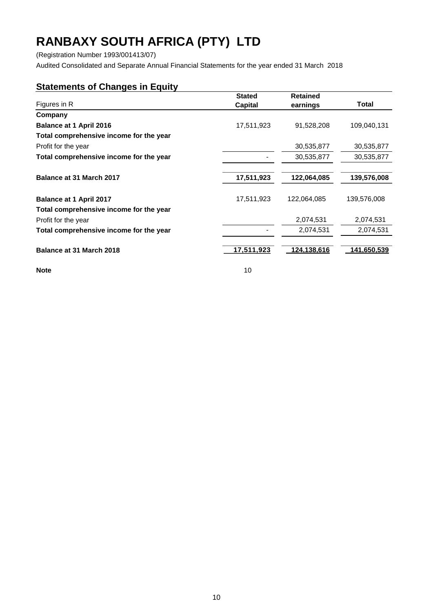(Registration Number 1993/001413/07)

Audited Consolidated and Separate Annual Financial Statements for the year ended 31 March 2018

## <span id="page-10-0"></span>**Statements of Changes in Equity**

|                                         | <b>Stated</b> | <b>Retained</b> |                    |
|-----------------------------------------|---------------|-----------------|--------------------|
| Figures in R                            | Capital       | earnings        | <b>Total</b>       |
| Company                                 |               |                 |                    |
| <b>Balance at 1 April 2016</b>          | 17,511,923    | 91,528,208      | 109,040,131        |
| Total comprehensive income for the year |               |                 |                    |
| Profit for the year                     |               | 30,535,877      | 30,535,877         |
| Total comprehensive income for the year |               | 30,535,877      | 30,535,877         |
| Balance at 31 March 2017                | 17,511,923    | 122,064,085     | 139,576,008        |
| <b>Balance at 1 April 2017</b>          | 17,511,923    | 122,064,085     | 139,576,008        |
| Total comprehensive income for the year |               |                 |                    |
| Profit for the year                     |               | 2,074,531       | 2,074,531          |
| Total comprehensive income for the year |               | 2,074,531       | 2,074,531          |
| Balance at 31 March 2018                | 17,511,923    | 124.138.616     | <u>141.650.539</u> |

**Note** 10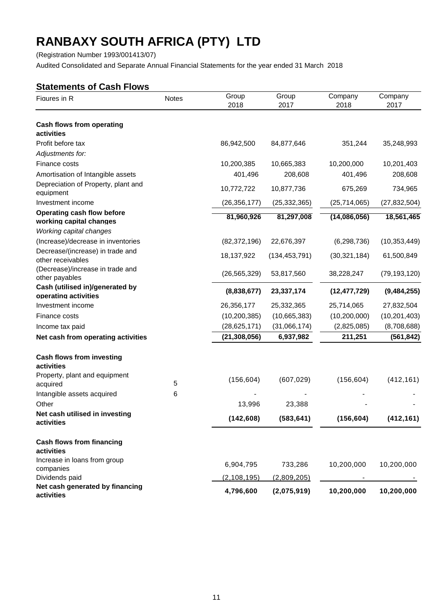(Registration Number 1993/001413/07)

Audited Consolidated and Separate Annual Financial Statements for the year ended 31 March 2018

### <span id="page-11-0"></span>**Statements of Cash Flows**

| Figures in R                                            | Notes | Group<br>2018  | Group<br>2017   | Company<br>2018 | Company<br>2017 |
|---------------------------------------------------------|-------|----------------|-----------------|-----------------|-----------------|
|                                                         |       |                |                 |                 |                 |
| Cash flows from operating                               |       |                |                 |                 |                 |
| activities                                              |       |                |                 |                 |                 |
| Profit before tax                                       |       | 86,942,500     | 84,877,646      | 351,244         | 35,248,993      |
| Adjustments for:                                        |       |                |                 | 10,200,000      |                 |
| Finance costs                                           |       | 10,200,385     | 10,665,383      |                 | 10,201,403      |
| Amortisation of Intangible assets                       |       | 401,496        | 208,608         | 401,496         | 208,608         |
| Depreciation of Property, plant and<br>equipment        |       | 10,772,722     | 10,877,736      | 675,269         | 734,965         |
| Investment income                                       |       | (26, 356, 177) | (25, 332, 365)  | (25, 714, 065)  | (27, 832, 504)  |
| Operating cash flow before<br>working capital changes   |       | 81,960,926     | 81,297,008      | (14,086,056)    | 18,561,465      |
| Working capital changes                                 |       |                |                 |                 |                 |
| (Increase)/decrease in inventories                      |       | (82, 372, 196) | 22,676,397      | (6, 298, 736)   | (10, 353, 449)  |
| Decrease/(increase) in trade and<br>other receivables   |       | 18,137,922     | (134, 453, 791) | (30, 321, 184)  | 61,500,849      |
| (Decrease)/increase in trade and<br>other payables      |       | (26, 565, 329) | 53,817,560      | 38,228,247      | (79, 193, 120)  |
| Cash (utilised in)/generated by<br>operating activities |       | (8,838,677)    | 23,337,174      | (12, 477, 729)  | (9,484,255)     |
| Investment income                                       |       | 26,356,177     | 25,332,365      | 25,714,065      | 27,832,504      |
| Finance costs                                           |       | (10, 200, 385) | (10,665,383)    | (10, 200, 000)  | (10, 201, 403)  |
| Income tax paid                                         |       | (28, 625, 171) | (31,066,174)    | (2,825,085)     | (8,708,688)     |
| Net cash from operating activities                      |       | (21, 308, 056) | 6,937,982       | 211,251         | (561, 842)      |
| <b>Cash flows from investing</b>                        |       |                |                 |                 |                 |
| activities                                              |       |                |                 |                 |                 |
| Property, plant and equipment<br>acquired               | 5     | (156, 604)     | (607, 029)      | (156, 604)      | (412, 161)      |
| Intangible assets acquired                              | 6     |                |                 |                 |                 |
| Other                                                   |       | 13,996         | 23,388          |                 |                 |
| Net cash utilised in investing<br>activities            |       | (142, 608)     | (583, 641)      | (156, 604)      | (412, 161)      |
|                                                         |       |                |                 |                 |                 |
| <b>Cash flows from financing</b><br>activities          |       |                |                 |                 |                 |
| Increase in loans from group<br>companies               |       | 6,904,795      | 733,286         | 10,200,000      | 10,200,000      |
| Dividends paid                                          |       | (2, 108, 195)  | (2,809,205)     |                 |                 |
| Net cash generated by financing<br>activities           |       | 4,796,600      | (2,075,919)     | 10,200,000      | 10,200,000      |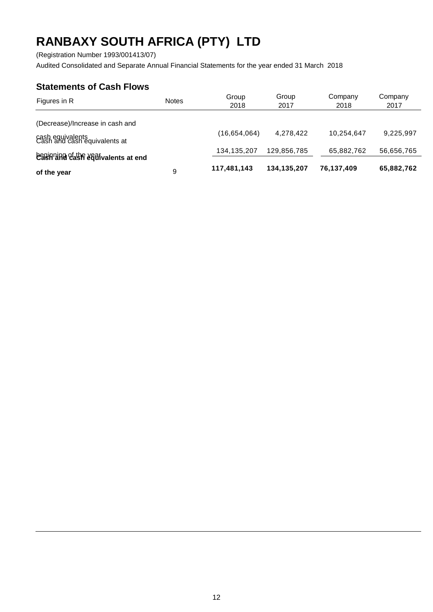(Registration Number 1993/001413/07)

Audited Consolidated and Separate Annual Financial Statements for the year ended 31 March 2018

### **Statements of Cash Flows**

| <b>Notes</b> | Group<br>2018 | Group<br>2017 | Company<br>2018 | Company<br>2017 |
|--------------|---------------|---------------|-----------------|-----------------|
|              |               |               |                 |                 |
|              | (16,654,064)  | 4.278.422     | 10,254,647      | 9,225,997       |
|              | 134, 135, 207 | 129,856,785   | 65,882,762      | 56,656,765      |
|              | 117,481,143   | 134,135,207   | 76,137,409      | 65,882,762      |
|              | 9             |               |                 |                 |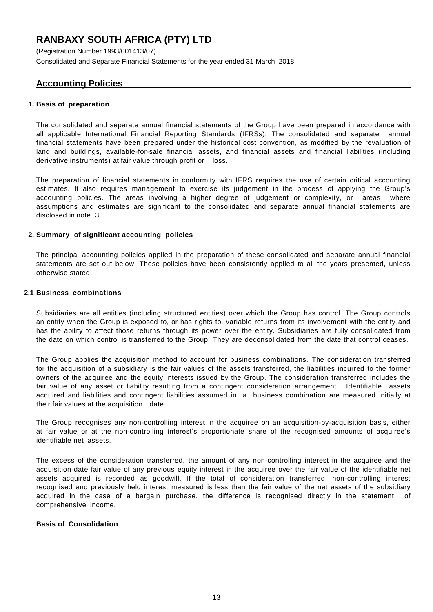(Registration Number 1993/001413/07) Consolidated and Separate Financial Statements for the year ended 31 March 2018

#### <span id="page-13-0"></span>**Accounting Policies**

#### **1. Basis of preparation**

The consolidated and separate annual financial statements of the Group have been prepared in accordance with all applicable International Financial Reporting Standards (IFRSs). The consolidated and separate annual financial statements have been prepared under the historical cost convention, as modified by the revaluation of land and buildings, available-for-sale financial assets, and financial assets and financial liabilities (including derivative instruments) at fair value through profit or loss.

The preparation of financial statements in conformity with IFRS requires the use of certain critical accounting estimates. It also requires management to exercise its judgement in the process of applying the Group's accounting policies. The areas involving a higher degree of judgement or complexity, or areas where assumptions and estimates are significant to the consolidated and separate annual financial statements are disclosed in note 3.

#### **2. Summary of significant accounting policies**

The principal accounting policies applied in the preparation of these consolidated and separate annual financial statements are set out below. These policies have been consistently applied to all the years presented, unless otherwise stated.

#### **2.1 Business combinations**

Subsidiaries are all entities (including structured entities) over which the Group has control. The Group controls an entity when the Group is exposed to, or has rights to, variable returns from its involvement with the entity and has the ability to affect those returns through its power over the entity. Subsidiaries are fully consolidated from the date on which control is transferred to the Group. They are deconsolidated from the date that control ceases.

The Group applies the acquisition method to account for business combinations. The consideration transferred for the acquisition of a subsidiary is the fair values of the assets transferred, the liabilities incurred to the former owners of the acquiree and the equity interests issued by the Group. The consideration transferred includes the fair value of any asset or liability resulting from a contingent consideration arrangement. Identifiable assets acquired and liabilities and contingent liabilities assumed in a business combination are measured initially at their fair values at the acquisition date.

The Group recognises any non-controlling interest in the acquiree on an acquisition-by-acquisition basis, either at fair value or at the non-controlling interest's proportionate share of the recognised amounts of acquiree's identifiable net assets.

The excess of the consideration transferred, the amount of any non-controlling interest in the acquiree and the acquisition-date fair value of any previous equity interest in the acquiree over the fair value of the identifiable net assets acquired is recorded as goodwill. If the total of consideration transferred, non-controlling interest recognised and previously held interest measured is less than the fair value of the net assets of the subsidiary acquired in the case of a bargain purchase, the difference is recognised directly in the statement of comprehensive income.

#### **Basis of Consolidation**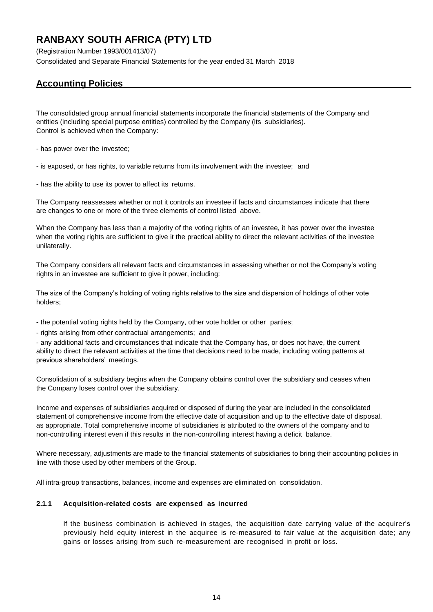(Registration Number 1993/001413/07) Consolidated and Separate Financial Statements for the year ended 31 March 2018

### **Accounting Policies**

The consolidated group annual financial statements incorporate the financial statements of the Company and entities (including special purpose entities) controlled by the Company (its subsidiaries). Control is achieved when the Company:

- has power over the investee;

- is exposed, or has rights, to variable returns from its involvement with the investee; and

- has the ability to use its power to affect its returns.

The Company reassesses whether or not it controls an investee if facts and circumstances indicate that there are changes to one or more of the three elements of control listed above.

When the Company has less than a majority of the voting rights of an investee, it has power over the investee when the voting rights are sufficient to give it the practical ability to direct the relevant activities of the investee unilaterally.

The Company considers all relevant facts and circumstances in assessing whether or not the Company's voting rights in an investee are sufficient to give it power, including:

The size of the Company's holding of voting rights relative to the size and dispersion of holdings of other vote holders;

- the potential voting rights held by the Company, other vote holder or other parties;

- rights arising from other contractual arrangements; and

- any additional facts and circumstances that indicate that the Company has, or does not have, the current ability to direct the relevant activities at the time that decisions need to be made, including voting patterns at previous shareholders' meetings.

Consolidation of a subsidiary begins when the Company obtains control over the subsidiary and ceases when the Company loses control over the subsidiary.

Income and expenses of subsidiaries acquired or disposed of during the year are included in the consolidated statement of comprehensive income from the effective date of acquisition and up to the effective date of disposal, as appropriate. Total comprehensive income of subsidiaries is attributed to the owners of the company and to non-controlling interest even if this results in the non-controlling interest having a deficit balance.

Where necessary, adjustments are made to the financial statements of subsidiaries to bring their accounting policies in line with those used by other members of the Group.

All intra-group transactions, balances, income and expenses are eliminated on consolidation.

#### **2.1.1 Acquisition-related costs are expensed as incurred**

If the business combination is achieved in stages, the acquisition date carrying value of the acquirer's previously held equity interest in the acquiree is re-measured to fair value at the acquisition date; any gains or losses arising from such re-measurement are recognised in profit or loss.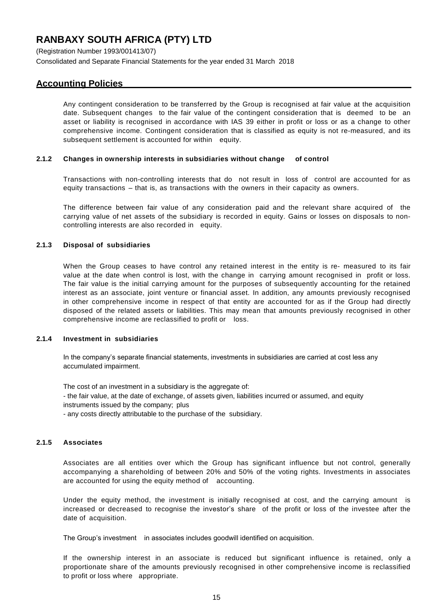(Registration Number 1993/001413/07) Consolidated and Separate Financial Statements for the year ended 31 March 2018

#### **Accounting Policies**

Any contingent consideration to be transferred by the Group is recognised at fair value at the acquisition date. Subsequent changes to the fair value of the contingent consideration that is deemed to be an asset or liability is recognised in accordance with IAS 39 either in profit or loss or as a change to other comprehensive income. Contingent consideration that is classified as equity is not re-measured, and its subsequent settlement is accounted for within equity.

#### **2.1.2 Changes in ownership interests in subsidiaries without change of control**

Transactions with non-controlling interests that do not result in loss of control are accounted for as equity transactions – that is, as transactions with the owners in their capacity as owners.

The difference between fair value of any consideration paid and the relevant share acquired of the carrying value of net assets of the subsidiary is recorded in equity. Gains or losses on disposals to noncontrolling interests are also recorded in equity.

#### **2.1.3 Disposal of subsidiaries**

When the Group ceases to have control any retained interest in the entity is re- measured to its fair value at the date when control is lost, with the change in carrying amount recognised in profit or loss. The fair value is the initial carrying amount for the purposes of subsequently accounting for the retained interest as an associate, joint venture or financial asset. In addition, any amounts previously recognised in other comprehensive income in respect of that entity are accounted for as if the Group had directly disposed of the related assets or liabilities. This may mean that amounts previously recognised in other comprehensive income are reclassified to profit or loss.

#### **2.1.4 Investment in subsidiaries**

In the company's separate financial statements, investments in subsidiaries are carried at cost less any accumulated impairment.

The cost of an investment in a subsidiary is the aggregate of: - the fair value, at the date of exchange, of assets given, liabilities incurred or assumed, and equity instruments issued by the company; plus

- any costs directly attributable to the purchase of the subsidiary.

#### **2.1.5 Associates**

Associates are all entities over which the Group has significant influence but not control, generally accompanying a shareholding of between 20% and 50% of the voting rights. Investments in associates are accounted for using the equity method of accounting.

Under the equity method, the investment is initially recognised at cost, and the carrying amount is increased or decreased to recognise the investor's share of the profit or loss of the investee after the date of acquisition.

The Group's investment in associates includes goodwill identified on acquisition.

If the ownership interest in an associate is reduced but significant influence is retained, only a proportionate share of the amounts previously recognised in other comprehensive income is reclassified to profit or loss where appropriate.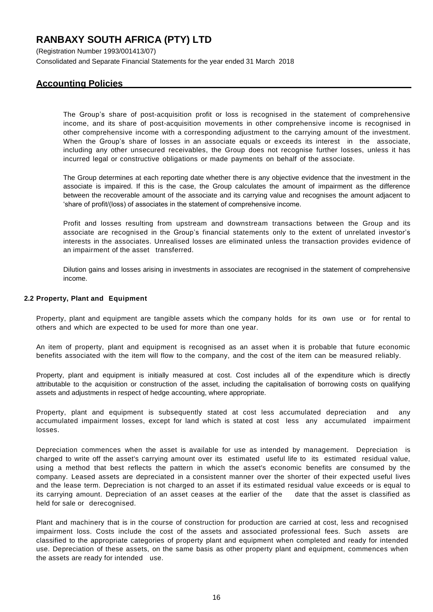(Registration Number 1993/001413/07) Consolidated and Separate Financial Statements for the year ended 31 March 2018

#### **Accounting Policies**

The Group's share of post-acquisition profit or loss is recognised in the statement of comprehensive income, and its share of post-acquisition movements in other comprehensive income is recognised in other comprehensive income with a corresponding adjustment to the carrying amount of the investment. When the Group's share of losses in an associate equals or exceeds its interest in the associate, including any other unsecured receivables, the Group does not recognise further losses, unless it has incurred legal or constructive obligations or made payments on behalf of the associate.

The Group determines at each reporting date whether there is any objective evidence that the investment in the associate is impaired. If this is the case, the Group calculates the amount of impairment as the difference between the recoverable amount of the associate and its carrying value and recognises the amount adjacent to 'share of profit/(loss) of associates in the statement of comprehensive income.

Profit and losses resulting from upstream and downstream transactions between the Group and its associate are recognised in the Group's financial statements only to the extent of unrelated investor's interests in the associates. Unrealised losses are eliminated unless the transaction provides evidence of an impairment of the asset transferred.

Dilution gains and losses arising in investments in associates are recognised in the statement of comprehensive income.

#### **2.2 Property, Plant and Equipment**

Property, plant and equipment are tangible assets which the company holds for its own use or for rental to others and which are expected to be used for more than one year.

An item of property, plant and equipment is recognised as an asset when it is probable that future economic benefits associated with the item will flow to the company, and the cost of the item can be measured reliably.

Property, plant and equipment is initially measured at cost. Cost includes all of the expenditure which is directly attributable to the acquisition or construction of the asset, including the capitalisation of borrowing costs on qualifying assets and adjustments in respect of hedge accounting, where appropriate.

Property, plant and equipment is subsequently stated at cost less accumulated depreciation and any accumulated impairment losses, except for land which is stated at cost less any accumulated impairment losses.

Depreciation commences when the asset is available for use as intended by management. Depreciation is charged to write off the asset's carrying amount over its estimated useful life to its estimated residual value, using a method that best reflects the pattern in which the asset's economic benefits are consumed by the company. Leased assets are depreciated in a consistent manner over the shorter of their expected useful lives and the lease term. Depreciation is not charged to an asset if its estimated residual value exceeds or is equal to its carrying amount. Depreciation of an asset ceases at the earlier of the date that the asset is classified as held for sale or derecognised.

Plant and machinery that is in the course of construction for production are carried at cost, less and recognised impairment loss. Costs include the cost of the assets and associated professional fees. Such assets are classified to the appropriate categories of property plant and equipment when completed and ready for intended use. Depreciation of these assets, on the same basis as other property plant and equipment, commences when the assets are ready for intended use.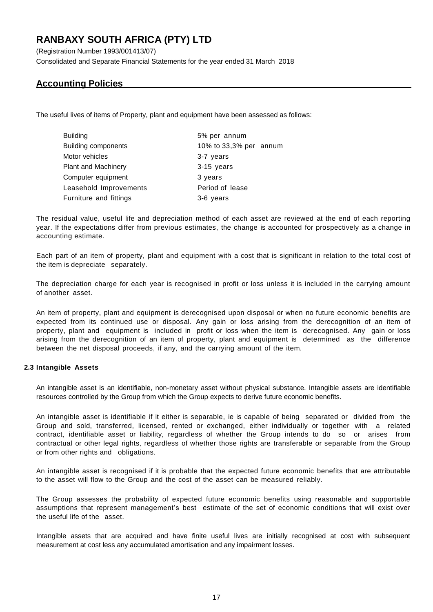(Registration Number 1993/001413/07) Consolidated and Separate Financial Statements for the year ended 31 March 2018

### **Accounting Policies**

The useful lives of items of Property, plant and equipment have been assessed as follows:

| <b>Building</b>            | 5% per annum           |
|----------------------------|------------------------|
| <b>Building components</b> | 10% to 33,3% per annum |
| Motor vehicles             | 3-7 years              |
| <b>Plant and Machinery</b> | 3-15 years             |
| Computer equipment         | 3 years                |
| Leasehold Improvements     | Period of lease        |
| Furniture and fittings     | 3-6 years              |

The residual value, useful life and depreciation method of each asset are reviewed at the end of each reporting year. If the expectations differ from previous estimates, the change is accounted for prospectively as a change in accounting estimate.

Each part of an item of property, plant and equipment with a cost that is significant in relation to the total cost of the item is depreciate separately.

The depreciation charge for each year is recognised in profit or loss unless it is included in the carrying amount of another asset.

An item of property, plant and equipment is derecognised upon disposal or when no future economic benefits are expected from its continued use or disposal. Any gain or loss arising from the derecognition of an item of property, plant and equipment is included in profit or loss when the item is derecognised. Any gain or loss arising from the derecognition of an item of property, plant and equipment is determined as the difference between the net disposal proceeds, if any, and the carrying amount of the item.

#### **2.3 Intangible Assets**

An intangible asset is an identifiable, non-monetary asset without physical substance. Intangible assets are identifiable resources controlled by the Group from which the Group expects to derive future economic benefits.

An intangible asset is identifiable if it either is separable, ie is capable of being separated or divided from the Group and sold, transferred, licensed, rented or exchanged, either individually or together with a related contract, identifiable asset or liability, regardless of whether the Group intends to do so or arises from contractual or other legal rights, regardless of whether those rights are transferable or separable from the Group or from other rights and obligations.

An intangible asset is recognised if it is probable that the expected future economic benefits that are attributable to the asset will flow to the Group and the cost of the asset can be measured reliably.

The Group assesses the probability of expected future economic benefits using reasonable and supportable assumptions that represent management's best estimate of the set of economic conditions that will exist over the useful life of the asset.

Intangible assets that are acquired and have finite useful lives are initially recognised at cost with subsequent measurement at cost less any accumulated amortisation and any impairment losses.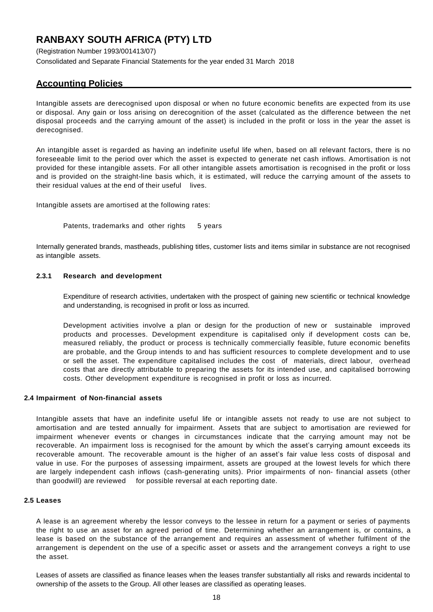(Registration Number 1993/001413/07) Consolidated and Separate Financial Statements for the year ended 31 March 2018

#### **Accounting Policies**

Intangible assets are derecognised upon disposal or when no future economic benefits are expected from its use or disposal. Any gain or loss arising on derecognition of the asset (calculated as the difference between the net disposal proceeds and the carrying amount of the asset) is included in the profit or loss in the year the asset is derecognised.

An intangible asset is regarded as having an indefinite useful life when, based on all relevant factors, there is no foreseeable limit to the period over which the asset is expected to generate net cash inflows. Amortisation is not provided for these intangible assets. For all other intangible assets amortisation is recognised in the profit or loss and is provided on the straight-line basis which, it is estimated, will reduce the carrying amount of the assets to their residual values at the end of their useful lives.

Intangible assets are amortised at the following rates:

Patents, trademarks and other rights 5 years

Internally generated brands, mastheads, publishing titles, customer lists and items similar in substance are not recognised as intangible assets.

#### **2.3.1 Research and development**

Expenditure of research activities, undertaken with the prospect of gaining new scientific or technical knowledge and understanding, is recognised in profit or loss as incurred.

Development activities involve a plan or design for the production of new or sustainable improved products and processes. Development expenditure is capitalised only if development costs can be, measured reliably, the product or process is technically commercially feasible, future economic benefits are probable, and the Group intends to and has sufficient resources to complete development and to use or sell the asset. The expenditure capitalised includes the cost of materials, direct labour, overhead costs that are directly attributable to preparing the assets for its intended use, and capitalised borrowing costs. Other development expenditure is recognised in profit or loss as incurred.

#### **2.4 Impairment of Non-financial assets**

Intangible assets that have an indefinite useful life or intangible assets not ready to use are not subject to amortisation and are tested annually for impairment. Assets that are subject to amortisation are reviewed for impairment whenever events or changes in circumstances indicate that the carrying amount may not be recoverable. An impairment loss is recognised for the amount by which the asset's carrying amount exceeds its recoverable amount. The recoverable amount is the higher of an asset's fair value less costs of disposal and value in use. For the purposes of assessing impairment, assets are grouped at the lowest levels for which there are largely independent cash inflows (cash-generating units). Prior impairments of non- financial assets (other than goodwill) are reviewed for possible reversal at each reporting date.

#### **2.5 Leases**

A lease is an agreement whereby the lessor conveys to the lessee in return for a payment or series of payments the right to use an asset for an agreed period of time. Determining whether an arrangement is, or contains, a lease is based on the substance of the arrangement and requires an assessment of whether fulfilment of the arrangement is dependent on the use of a specific asset or assets and the arrangement conveys a right to use the asset.

Leases of assets are classified as finance leases when the leases transfer substantially all risks and rewards incidental to ownership of the assets to the Group. All other leases are classified as operating leases.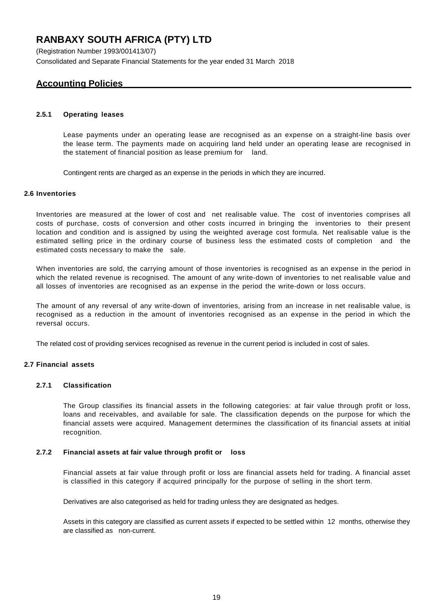(Registration Number 1993/001413/07) Consolidated and Separate Financial Statements for the year ended 31 March 2018

#### **Accounting Policies**

#### **2.5.1 Operating leases**

Lease payments under an operating lease are recognised as an expense on a straight-line basis over the lease term. The payments made on acquiring land held under an operating lease are recognised in the statement of financial position as lease premium for land.

Contingent rents are charged as an expense in the periods in which they are incurred.

#### **2.6 Inventories**

Inventories are measured at the lower of cost and net realisable value. The cost of inventories comprises all costs of purchase, costs of conversion and other costs incurred in bringing the inventories to their present location and condition and is assigned by using the weighted average cost formula. Net realisable value is the estimated selling price in the ordinary course of business less the estimated costs of completion and the estimated costs necessary to make the sale.

When inventories are sold, the carrying amount of those inventories is recognised as an expense in the period in which the related revenue is recognised. The amount of any write-down of inventories to net realisable value and all losses of inventories are recognised as an expense in the period the write-down or loss occurs.

The amount of any reversal of any write-down of inventories, arising from an increase in net realisable value, is recognised as a reduction in the amount of inventories recognised as an expense in the period in which the reversal occurs.

The related cost of providing services recognised as revenue in the current period is included in cost of sales.

#### **2.7 Financial assets**

#### **2.7.1 Classification**

The Group classifies its financial assets in the following categories: at fair value through profit or loss, loans and receivables, and available for sale. The classification depends on the purpose for which the financial assets were acquired. Management determines the classification of its financial assets at initial recognition.

#### **2.7.2 Financial assets at fair value through profit or loss**

Financial assets at fair value through profit or loss are financial assets held for trading. A financial asset is classified in this category if acquired principally for the purpose of selling in the short term.

Derivatives are also categorised as held for trading unless they are designated as hedges.

Assets in this category are classified as current assets if expected to be settled within 12 months, otherwise they are classified as non-current.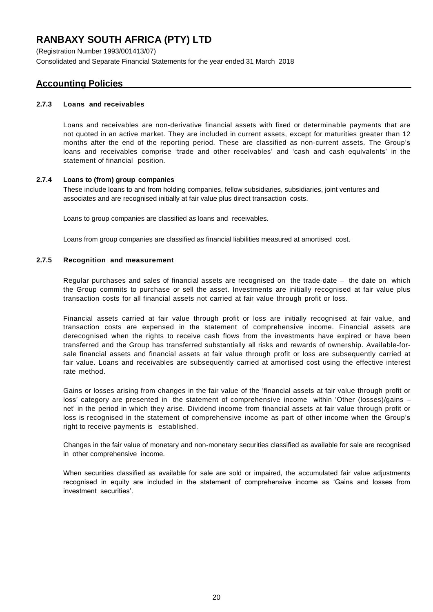(Registration Number 1993/001413/07) Consolidated and Separate Financial Statements for the year ended 31 March 2018

#### **Accounting Policies**

#### **2.7.3 Loans and receivables**

Loans and receivables are non-derivative financial assets with fixed or determinable payments that are not quoted in an active market. They are included in current assets, except for maturities greater than 12 months after the end of the reporting period. These are classified as non-current assets. The Group's loans and receivables comprise 'trade and other receivables' and 'cash and cash equivalents' in the statement of financial position.

#### **2.7.4 Loans to (from) group companies**

These include loans to and from holding companies, fellow subsidiaries, subsidiaries, joint ventures and associates and are recognised initially at fair value plus direct transaction costs.

Loans to group companies are classified as loans and receivables.

Loans from group companies are classified as financial liabilities measured at amortised cost.

#### **2.7.5 Recognition and measurement**

Regular purchases and sales of financial assets are recognised on the trade-date – the date on which the Group commits to purchase or sell the asset. Investments are initially recognised at fair value plus transaction costs for all financial assets not carried at fair value through profit or loss.

Financial assets carried at fair value through profit or loss are initially recognised at fair value, and transaction costs are expensed in the statement of comprehensive income. Financial assets are derecognised when the rights to receive cash flows from the investments have expired or have been transferred and the Group has transferred substantially all risks and rewards of ownership. Available-forsale financial assets and financial assets at fair value through profit or loss are subsequently carried at fair value. Loans and receivables are subsequently carried at amortised cost using the effective interest rate method.

Gains or losses arising from changes in the fair value of the 'financial assets at fair value through profit or loss' category are presented in the statement of comprehensive income within 'Other (losses)/gains – net' in the period in which they arise. Dividend income from financial assets at fair value through profit or loss is recognised in the statement of comprehensive income as part of other income when the Group's right to receive payments is established.

Changes in the fair value of monetary and non-monetary securities classified as available for sale are recognised in other comprehensive income.

When securities classified as available for sale are sold or impaired, the accumulated fair value adjustments recognised in equity are included in the statement of comprehensive income as 'Gains and losses from investment securities'.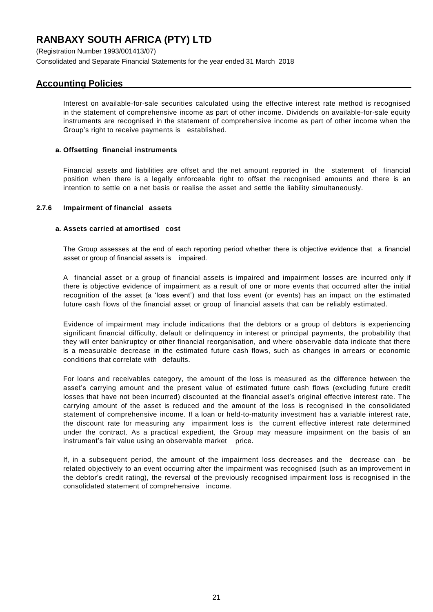(Registration Number 1993/001413/07) Consolidated and Separate Financial Statements for the year ended 31 March 2018

#### **Accounting Policies**

Interest on available-for-sale securities calculated using the effective interest rate method is recognised in the statement of comprehensive income as part of other income. Dividends on available-for-sale equity instruments are recognised in the statement of comprehensive income as part of other income when the Group's right to receive payments is established.

#### **a. Offsetting financial instruments**

Financial assets and liabilities are offset and the net amount reported in the statement of financial position when there is a legally enforceable right to offset the recognised amounts and there is an intention to settle on a net basis or realise the asset and settle the liability simultaneously.

#### **2.7.6 Impairment of financial assets**

#### **a. Assets carried at amortised cost**

The Group assesses at the end of each reporting period whether there is objective evidence that a financial asset or group of financial assets is impaired.

A financial asset or a group of financial assets is impaired and impairment losses are incurred only if there is objective evidence of impairment as a result of one or more events that occurred after the initial recognition of the asset (a 'loss event') and that loss event (or events) has an impact on the estimated future cash flows of the financial asset or group of financial assets that can be reliably estimated.

Evidence of impairment may include indications that the debtors or a group of debtors is experiencing significant financial difficulty, default or delinquency in interest or principal payments, the probability that they will enter bankruptcy or other financial reorganisation, and where observable data indicate that there is a measurable decrease in the estimated future cash flows, such as changes in arrears or economic conditions that correlate with defaults.

For loans and receivables category, the amount of the loss is measured as the difference between the asset's carrying amount and the present value of estimated future cash flows (excluding future credit losses that have not been incurred) discounted at the financial asset's original effective interest rate. The carrying amount of the asset is reduced and the amount of the loss is recognised in the consolidated statement of comprehensive income. If a loan or held-to-maturity investment has a variable interest rate, the discount rate for measuring any impairment loss is the current effective interest rate determined under the contract. As a practical expedient, the Group may measure impairment on the basis of an instrument's fair value using an observable market price.

If, in a subsequent period, the amount of the impairment loss decreases and the decrease can be related objectively to an event occurring after the impairment was recognised (such as an improvement in the debtor's credit rating), the reversal of the previously recognised impairment loss is recognised in the consolidated statement of comprehensive income.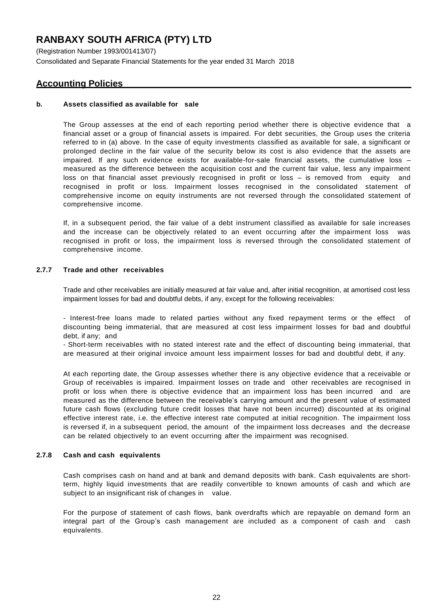(Registration Number 1993/001413/07) Consolidated and Separate Financial Statements for the year ended 31 March 2018

#### **Accounting Policies**

#### **b. Assets classified as available for sale**

The Group assesses at the end of each reporting period whether there is objective evidence that a financial asset or a group of financial assets is impaired. For debt securities, the Group uses the criteria referred to in (a) above. In the case of equity investments classified as available for sale, a significant or prolonged decline in the fair value of the security below its cost is also evidence that the assets are impaired. If any such evidence exists for available-for-sale financial assets, the cumulative loss – measured as the difference between the acquisition cost and the current fair value, less any impairment loss on that financial asset previously recognised in profit or loss – is removed from equity and recognised in profit or loss. Impairment losses recognised in the consolidated statement of comprehensive income on equity instruments are not reversed through the consolidated statement of comprehensive income.

If, in a subsequent period, the fair value of a debt instrument classified as available for sale increases and the increase can be objectively related to an event occurring after the impairment loss was recognised in profit or loss, the impairment loss is reversed through the consolidated statement of comprehensive income.

#### **2.7.7 Trade and other receivables**

Trade and other receivables are initially measured at fair value and, after initial recognition, at amortised cost less impairment losses for bad and doubtful debts, if any, except for the following receivables:

- Interest-free loans made to related parties without any fixed repayment terms or the effect of discounting being immaterial, that are measured at cost less impairment losses for bad and doubtful debt, if any; and

- Short-term receivables with no stated interest rate and the effect of discounting being immaterial, that are measured at their original invoice amount less impairment losses for bad and doubtful debt, if any.

At each reporting date, the Group assesses whether there is any objective evidence that a receivable or Group of receivables is impaired. Impairment losses on trade and other receivables are recognised in profit or loss when there is objective evidence that an impairment loss has been incurred and are measured as the difference between the receivable's carrying amount and the present value of estimated future cash flows (excluding future credit losses that have not been incurred) discounted at its original effective interest rate, i.e. the effective interest rate computed at initial recognition. The impairment loss is reversed if, in a subsequent period, the amount of the impairment loss decreases and the decrease can be related objectively to an event occurring after the impairment was recognised.

#### **2.7.8 Cash and cash equivalents**

Cash comprises cash on hand and at bank and demand deposits with bank. Cash equivalents are shortterm, highly liquid investments that are readily convertible to known amounts of cash and which are subject to an insignificant risk of changes in value.

For the purpose of statement of cash flows, bank overdrafts which are repayable on demand form an integral part of the Group's cash management are included as a component of cash and cash equivalents.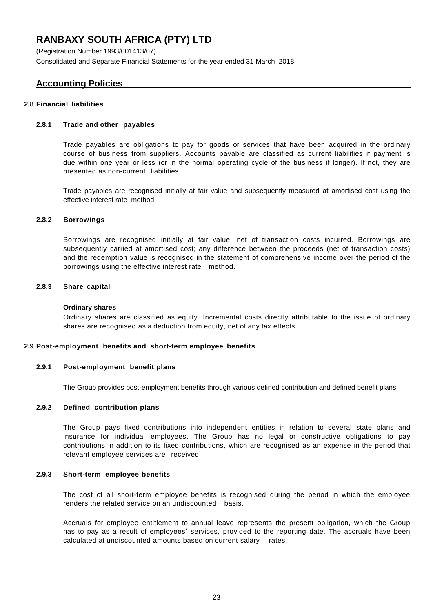(Registration Number 1993/001413/07) Consolidated and Separate Financial Statements for the year ended 31 March 2018

#### **Accounting Policies**

#### **2.8 Financial liabilities**

#### **2.8.1 Trade and other payables**

Trade payables are obligations to pay for goods or services that have been acquired in the ordinary course of business from suppliers. Accounts payable are classified as current liabilities if payment is due within one year or less (or in the normal operating cycle of the business if longer). If not, they are presented as non-current liabilities.

Trade payables are recognised initially at fair value and subsequently measured at amortised cost using the effective interest rate method.

#### **2.8.2 Borrowings**

Borrowings are recognised initially at fair value, net of transaction costs incurred. Borrowings are subsequently carried at amortised cost; any difference between the proceeds (net of transaction costs) and the redemption value is recognised in the statement of comprehensive income over the period of the borrowings using the effective interest rate method.

#### **2.8.3 Share capital**

#### **Ordinary shares**

Ordinary shares are classified as equity. Incremental costs directly attributable to the issue of ordinary shares are recognised as a deduction from equity, net of any tax effects.

#### **2.9 Post-employment benefits and short-term employee benefits**

#### **2.9.1 Post-employment benefit plans**

The Group provides post-employment benefits through various defined contribution and defined benefit plans.

#### **2.9.2 Defined contribution plans**

The Group pays fixed contributions into independent entities in relation to several state plans and insurance for individual employees. The Group has no legal or constructive obligations to pay contributions in addition to its fixed contributions, which are recognised as an expense in the period that relevant employee services are received.

#### **2.9.3 Short-term employee benefits**

The cost of all short-term employee benefits is recognised during the period in which the employee renders the related service on an undiscounted basis.

Accruals for employee entitlement to annual leave represents the present obligation, which the Group has to pay as a result of employees' services, provided to the reporting date. The accruals have been calculated at undiscounted amounts based on current salary rates.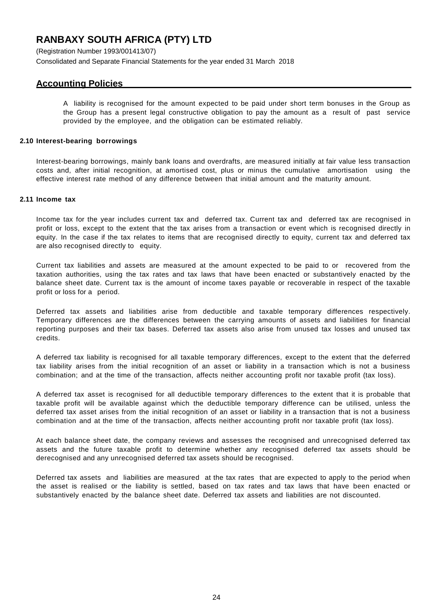(Registration Number 1993/001413/07) Consolidated and Separate Financial Statements for the year ended 31 March 2018

#### **Accounting Policies**

A liability is recognised for the amount expected to be paid under short term bonuses in the Group as the Group has a present legal constructive obligation to pay the amount as a result of past service provided by the employee, and the obligation can be estimated reliably.

#### **2.10 Interest-bearing borrowings**

Interest-bearing borrowings, mainly bank loans and overdrafts, are measured initially at fair value less transaction costs and, after initial recognition, at amortised cost, plus or minus the cumulative amortisation using the effective interest rate method of any difference between that initial amount and the maturity amount.

#### **2.11 Income tax**

Income tax for the year includes current tax and deferred tax. Current tax and deferred tax are recognised in profit or loss, except to the extent that the tax arises from a transaction or event which is recognised directly in equity. In the case if the tax relates to items that are recognised directly to equity, current tax and deferred tax are also recognised directly to equity.

Current tax liabilities and assets are measured at the amount expected to be paid to or recovered from the taxation authorities, using the tax rates and tax laws that have been enacted or substantively enacted by the balance sheet date. Current tax is the amount of income taxes payable or recoverable in respect of the taxable profit or loss for a period.

Deferred tax assets and liabilities arise from deductible and taxable temporary differences respectively. Temporary differences are the differences between the carrying amounts of assets and liabilities for financial reporting purposes and their tax bases. Deferred tax assets also arise from unused tax losses and unused tax credits.

A deferred tax liability is recognised for all taxable temporary differences, except to the extent that the deferred tax liability arises from the initial recognition of an asset or liability in a transaction which is not a business combination; and at the time of the transaction, affects neither accounting profit nor taxable profit (tax loss).

A deferred tax asset is recognised for all deductible temporary differences to the extent that it is probable that taxable profit will be available against which the deductible temporary difference can be utilised, unless the deferred tax asset arises from the initial recognition of an asset or liability in a transaction that is not a business combination and at the time of the transaction, affects neither accounting profit nor taxable profit (tax loss).

At each balance sheet date, the company reviews and assesses the recognised and unrecognised deferred tax assets and the future taxable profit to determine whether any recognised deferred tax assets should be derecognised and any unrecognised deferred tax assets should be recognised.

Deferred tax assets and liabilities are measured at the tax rates that are expected to apply to the period when the asset is realised or the liability is settled, based on tax rates and tax laws that have been enacted or substantively enacted by the balance sheet date. Deferred tax assets and liabilities are not discounted.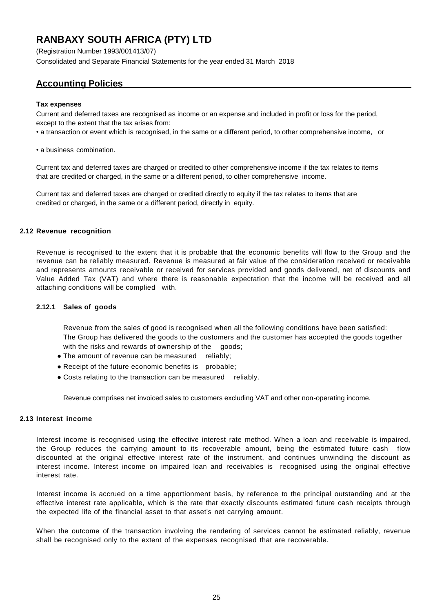(Registration Number 1993/001413/07)

Consolidated and Separate Financial Statements for the year ended 31 March 2018

#### **Accounting Policies**

#### **Tax expenses**

Current and deferred taxes are recognised as income or an expense and included in profit or loss for the period, except to the extent that the tax arises from:

• a transaction or event which is recognised, in the same or a different period, to other comprehensive income, or

• a business combination.

Current tax and deferred taxes are charged or credited to other comprehensive income if the tax relates to items that are credited or charged, in the same or a different period, to other comprehensive income.

Current tax and deferred taxes are charged or credited directly to equity if the tax relates to items that are credited or charged, in the same or a different period, directly in equity.

#### **2.12 Revenue recognition**

Revenue is recognised to the extent that it is probable that the economic benefits will flow to the Group and the revenue can be reliably measured. Revenue is measured at fair value of the consideration received or receivable and represents amounts receivable or received for services provided and goods delivered, net of discounts and Value Added Tax (VAT) and where there is reasonable expectation that the income will be received and all attaching conditions will be complied with.

#### **2.12.1 Sales of goods**

Revenue from the sales of good is recognised when all the following conditions have been satisfied: The Group has delivered the goods to the customers and the customer has accepted the goods together with the risks and rewards of ownership of the goods;

- The amount of revenue can be measured reliably;
- Receipt of the future economic benefits is probable;
- Costs relating to the transaction can be measured reliably.

Revenue comprises net invoiced sales to customers excluding VAT and other non-operating income.

#### **2.13 Interest income**

Interest income is recognised using the effective interest rate method. When a loan and receivable is impaired, the Group reduces the carrying amount to its recoverable amount, being the estimated future cash flow discounted at the original effective interest rate of the instrument, and continues unwinding the discount as interest income. Interest income on impaired loan and receivables is recognised using the original effective interest rate.

Interest income is accrued on a time apportionment basis, by reference to the principal outstanding and at the effective interest rate applicable, which is the rate that exactly discounts estimated future cash receipts through the expected life of the financial asset to that asset's net carrying amount.

When the outcome of the transaction involving the rendering of services cannot be estimated reliably, revenue shall be recognised only to the extent of the expenses recognised that are recoverable.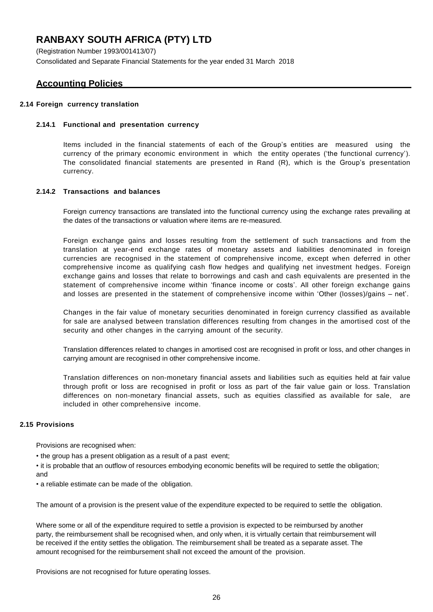(Registration Number 1993/001413/07) Consolidated and Separate Financial Statements for the year ended 31 March 2018

#### **Accounting Policies**

#### **2.14 Foreign currency translation**

#### **2.14.1 Functional and presentation currency**

Items included in the financial statements of each of the Group's entities are measured using the currency of the primary economic environment in which the entity operates ('the functional currency'). The consolidated financial statements are presented in Rand (R), which is the Group's presentation currency.

#### **2.14.2 Transactions and balances**

Foreign currency transactions are translated into the functional currency using the exchange rates prevailing at the dates of the transactions or valuation where items are re-measured.

Foreign exchange gains and losses resulting from the settlement of such transactions and from the translation at year-end exchange rates of monetary assets and liabilities denominated in foreign currencies are recognised in the statement of comprehensive income, except when deferred in other comprehensive income as qualifying cash flow hedges and qualifying net investment hedges. Foreign exchange gains and losses that relate to borrowings and cash and cash equivalents are presented in the statement of comprehensive income within 'finance income or costs'. All other foreign exchange gains and losses are presented in the statement of comprehensive income within 'Other (losses)/gains – net'.

Changes in the fair value of monetary securities denominated in foreign currency classified as available for sale are analysed between translation differences resulting from changes in the amortised cost of the security and other changes in the carrying amount of the security.

Translation differences related to changes in amortised cost are recognised in profit or loss, and other changes in carrying amount are recognised in other comprehensive income.

Translation differences on non-monetary financial assets and liabilities such as equities held at fair value through profit or loss are recognised in profit or loss as part of the fair value gain or loss. Translation differences on non-monetary financial assets, such as equities classified as available for sale, are included in other comprehensive income.

#### **2.15 Provisions**

Provisions are recognised when:

• the group has a present obligation as a result of a past event;

• it is probable that an outflow of resources embodying economic benefits will be required to settle the obligation; and

• a reliable estimate can be made of the obligation.

The amount of a provision is the present value of the expenditure expected to be required to settle the obligation.

Where some or all of the expenditure required to settle a provision is expected to be reimbursed by another party, the reimbursement shall be recognised when, and only when, it is virtually certain that reimbursement will be received if the entity settles the obligation. The reimbursement shall be treated as a separate asset. The amount recognised for the reimbursement shall not exceed the amount of the provision.

Provisions are not recognised for future operating losses.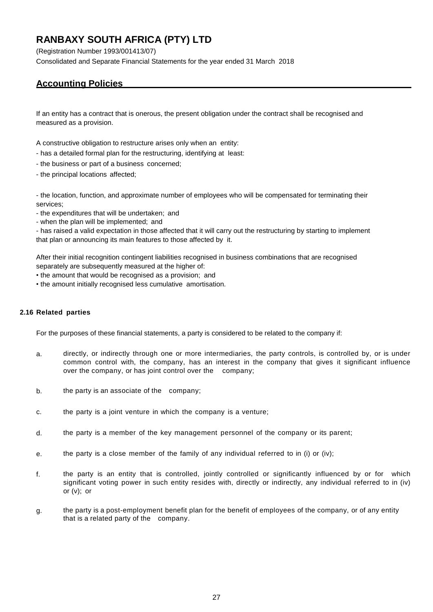(Registration Number 1993/001413/07)

Consolidated and Separate Financial Statements for the year ended 31 March 2018

### **Accounting Policies**

If an entity has a contract that is onerous, the present obligation under the contract shall be recognised and measured as a provision.

A constructive obligation to restructure arises only when an entity:

- has a detailed formal plan for the restructuring, identifying at least:
- the business or part of a business concerned;
- the principal locations affected;

- the location, function, and approximate number of employees who will be compensated for terminating their services;

- the expenditures that will be undertaken; and
- when the plan will be implemented; and

- has raised a valid expectation in those affected that it will carry out the restructuring by starting to implement that plan or announcing its main features to those affected by it.

After their initial recognition contingent liabilities recognised in business combinations that are recognised separately are subsequently measured at the higher of:

- the amount that would be recognised as a provision; and
- the amount initially recognised less cumulative amortisation.

#### **2.16 Related parties**

For the purposes of these financial statements, a party is considered to be related to the company if:

- a. directly, or indirectly through one or more intermediaries, the party controls, is controlled by, or is under common control with, the company, has an interest in the company that gives it significant influence over the company, or has joint control over the company;
- b. the party is an associate of the company;
- c. the party is a joint venture in which the company is a venture;
- d. the party is a member of the key management personnel of the company or its parent;
- e. the party is a close member of the family of any individual referred to in (i) or (iv);
- f. the party is an entity that is controlled, jointly controlled or significantly influenced by or for which significant voting power in such entity resides with, directly or indirectly, any individual referred to in (iv) or (v); or
- g. the party is a post-employment benefit plan for the benefit of employees of the company, or of any entity that is a related party of the company.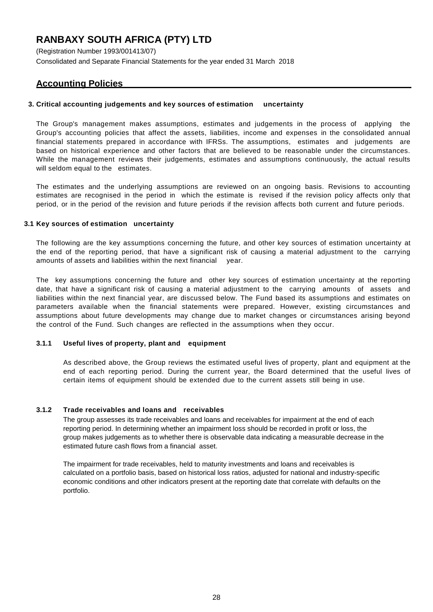(Registration Number 1993/001413/07) Consolidated and Separate Financial Statements for the year ended 31 March 2018

#### **Accounting Policies**

#### **3. Critical accounting judgements and key sources of estimation uncertainty**

The Group's management makes assumptions, estimates and judgements in the process of applying the Group's accounting policies that affect the assets, liabilities, income and expenses in the consolidated annual financial statements prepared in accordance with IFRSs. The assumptions, estimates and judgements are based on historical experience and other factors that are believed to be reasonable under the circumstances. While the management reviews their judgements, estimates and assumptions continuously, the actual results will seldom equal to the estimates.

The estimates and the underlying assumptions are reviewed on an ongoing basis. Revisions to accounting estimates are recognised in the period in which the estimate is revised if the revision policy affects only that period, or in the period of the revision and future periods if the revision affects both current and future periods.

#### **3.1 Key sources of estimation uncertainty**

The following are the key assumptions concerning the future, and other key sources of estimation uncertainty at the end of the reporting period, that have a significant risk of causing a material adjustment to the carrying amounts of assets and liabilities within the next financial year.

The key assumptions concerning the future and other key sources of estimation uncertainty at the reporting date, that have a significant risk of causing a material adjustment to the carrying amounts of assets and liabilities within the next financial year, are discussed below. The Fund based its assumptions and estimates on parameters available when the financial statements were prepared. However, existing circumstances and assumptions about future developments may change due to market changes or circumstances arising beyond the control of the Fund. Such changes are reflected in the assumptions when they occur.

#### **3.1.1 Useful lives of property, plant and equipment**

As described above, the Group reviews the estimated useful lives of property, plant and equipment at the end of each reporting period. During the current year, the Board determined that the useful lives of certain items of equipment should be extended due to the current assets still being in use.

#### **3.1.2 Trade receivables and loans and receivables**

The group assesses its trade receivables and loans and receivables for impairment at the end of each reporting period. In determining whether an impairment loss should be recorded in profit or loss, the group makes judgements as to whether there is observable data indicating a measurable decrease in the estimated future cash flows from a financial asset.

The impairment for trade receivables, held to maturity investments and loans and receivables is calculated on a portfolio basis, based on historical loss ratios, adjusted for national and industry-specific economic conditions and other indicators present at the reporting date that correlate with defaults on the portfolio.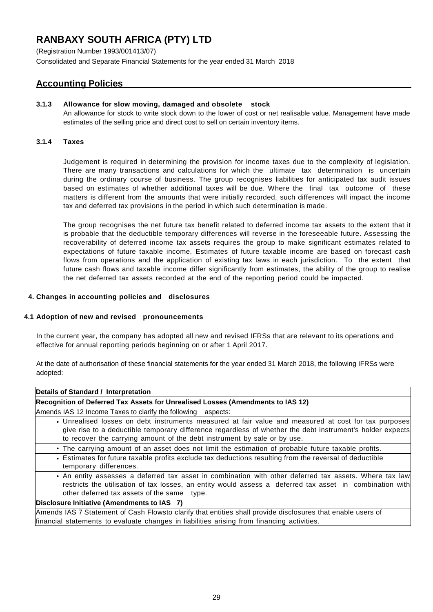(Registration Number 1993/001413/07) Consolidated and Separate Financial Statements for the year ended 31 March 2018

### **Accounting Policies**

#### **3.1.3 Allowance for slow moving, damaged and obsolete stock**

An allowance for stock to write stock down to the lower of cost or net realisable value. Management have made estimates of the selling price and direct cost to sell on certain inventory items.

#### **3.1.4 Taxes**

Judgement is required in determining the provision for income taxes due to the complexity of legislation. There are many transactions and calculations for which the ultimate tax determination is uncertain during the ordinary course of business. The group recognises liabilities for anticipated tax audit issues based on estimates of whether additional taxes will be due. Where the final tax outcome of these matters is different from the amounts that were initially recorded, such differences will impact the income tax and deferred tax provisions in the period in which such determination is made.

The group recognises the net future tax benefit related to deferred income tax assets to the extent that it is probable that the deductible temporary differences will reverse in the foreseeable future. Assessing the recoverability of deferred income tax assets requires the group to make significant estimates related to expectations of future taxable income. Estimates of future taxable income are based on forecast cash flows from operations and the application of existing tax laws in each jurisdiction. To the extent that future cash flows and taxable income differ significantly from estimates, the ability of the group to realise the net deferred tax assets recorded at the end of the reporting period could be impacted.

#### **4. Changes in accounting policies and disclosures**

#### **4.1 Adoption of new and revised pronouncements**

In the current year, the company has adopted all new and revised IFRSs that are relevant to its operations and effective for annual reporting periods beginning on or after 1 April 2017.

At the date of authorisation of these financial statements for the year ended 31 March 2018, the following IFRSs were adopted:

| Details of Standard / Interpretation                                                                                                                                                                                                                                                          |
|-----------------------------------------------------------------------------------------------------------------------------------------------------------------------------------------------------------------------------------------------------------------------------------------------|
| Recognition of Deferred Tax Assets for Unrealised Losses (Amendments to IAS 12)                                                                                                                                                                                                               |
| Amends IAS 12 Income Taxes to clarify the following<br>aspects:                                                                                                                                                                                                                               |
| • Unrealised losses on debt instruments measured at fair value and measured at cost for tax purposes<br>give rise to a deductible temporary difference regardless of whether the debt instrument's holder expects<br>to recover the carrying amount of the debt instrument by sale or by use. |
| • The carrying amount of an asset does not limit the estimation of probable future taxable profits.                                                                                                                                                                                           |
| • Estimates for future taxable profits exclude tax deductions resulting from the reversal of deductible<br>temporary differences.                                                                                                                                                             |
| • An entity assesses a deferred tax asset in combination with other deferred tax assets. Where tax law<br>restricts the utilisation of tax losses, an entity would assess a deferred tax asset in combination with<br>other deferred tax assets of the same<br>type.                          |
| Disclosure Initiative (Amendments to IAS 7)                                                                                                                                                                                                                                                   |
| Amends IAS 7 Statement of Cash Flowsto clarify that entities shall provide disclosures that enable users of                                                                                                                                                                                   |
| financial statements to evaluate changes in liabilities arising from financing activities.                                                                                                                                                                                                    |
|                                                                                                                                                                                                                                                                                               |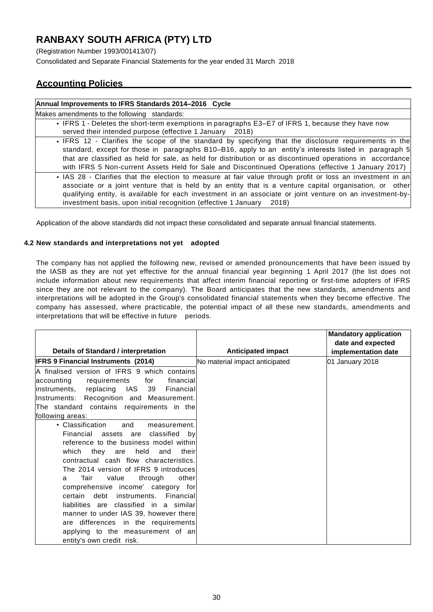(Registration Number 1993/001413/07)

Consolidated and Separate Financial Statements for the year ended 31 March 2018

### **Accounting Policies**

#### **Annual Improvements to IFRS Standards 2014–2016 Cycle**

Makes amendments to the following standards:

• IFRS 1 - Deletes the short-term exemptions in paragraphs E3–E7 of IFRS 1, because they have now served their intended purpose (effective 1 January 2018)

- IFRS 12 Clarifies the scope of the standard by specifying that the disclosure requirements in the standard, except for those in paragraphs B10–B16, apply to an entity's interests listed in paragraph 5 that are classified as held for sale, as held for distribution or as discontinued operations in accordance with IFRS 5 Non-current Assets Held for Sale and Discontinued Operations (effective 1 January 2017)
- IAS 28 Clarifies that the election to measure at fair value through profit or loss an investment in an associate or a joint venture that is held by an entity that is a venture capital organisation, or other qualifying entity, is available for each investment in an associate or joint venture on an investment-byinvestment basis, upon initial recognition (effective 1 January 2018)

Application of the above standards did not impact these consolidated and separate annual financial statements.

#### **4.2 New standards and interpretations not yet adopted**

The company has not applied the following new, revised or amended pronouncements that have been issued by the IASB as they are not yet effective for the annual financial year beginning 1 April 2017 (the list does not include information about new requirements that affect interim financial reporting or first-time adopters of IFRS since they are not relevant to the company). The Board anticipates that the new standards, amendments and interpretations will be adopted in the Group's consolidated financial statements when they become effective. The company has assessed, where practicable, the potential impact of all these new standards, amendments and interpretations that will be effective in future periods.

|                                                  |                                | <b>Mandatory application</b>             |
|--------------------------------------------------|--------------------------------|------------------------------------------|
| Details of Standard / interpretation             | <b>Anticipated impact</b>      | date and expected<br>implementation date |
| <b>IFRS 9 Financial Instruments (2014)</b>       | No material impact anticipated | 01 January 2018                          |
| A finalised version of IFRS 9 which contains     |                                |                                          |
| accounting<br>requirements<br>financial<br>for   |                                |                                          |
| replacing IAS<br>39<br>Financial<br>instruments, |                                |                                          |
| Instruments: Recognition and Measurement.        |                                |                                          |
| The standard contains requirements in the        |                                |                                          |
| following areas:                                 |                                |                                          |
| • Classification<br>and<br>measurement.          |                                |                                          |
| Financial<br>classified<br>assets are<br>bv      |                                |                                          |
| reference to the business model within           |                                |                                          |
| held<br>their<br>which<br>they are<br>and        |                                |                                          |
| contractual cash flow characteristics.           |                                |                                          |
| The 2014 version of IFRS 9 introduces            |                                |                                          |
| 'fair<br>value<br>through<br>other<br>a          |                                |                                          |
| comprehensive income' category for               |                                |                                          |
| certain debt<br>instruments.<br>Financial        |                                |                                          |
| liabilities are classified in a similar          |                                |                                          |
| manner to under IAS 39, however there            |                                |                                          |
| are differences in the requirements              |                                |                                          |
| applying to the measurement of an                |                                |                                          |
| entity's own credit risk.                        |                                |                                          |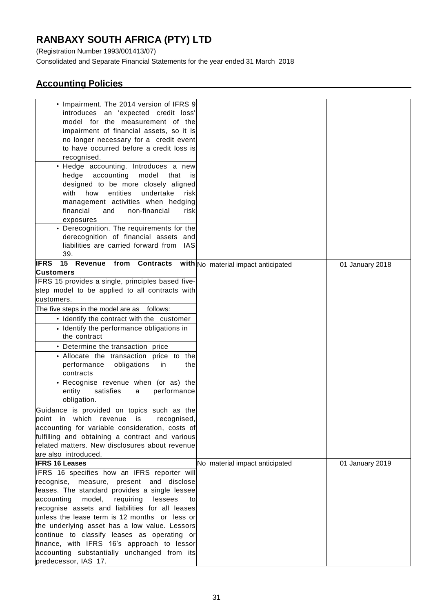(Registration Number 1993/001413/07)

Consolidated and Separate Financial Statements for the year ended 31 March 2018

### **Accounting Policies**

| • Impairment. The 2014 version of IFRS 9                                                     |                                |                 |
|----------------------------------------------------------------------------------------------|--------------------------------|-----------------|
| introduces an 'expected credit loss'                                                         |                                |                 |
| model for the measurement of the                                                             |                                |                 |
| impairment of financial assets, so it is                                                     |                                |                 |
| no longer necessary for a credit event                                                       |                                |                 |
| to have occurred before a credit loss is                                                     |                                |                 |
| recognised.                                                                                  |                                |                 |
| • Hedge accounting. Introduces a new                                                         |                                |                 |
| hedge<br>accounting<br>model<br>that<br>İS                                                   |                                |                 |
| designed to be more closely aligned                                                          |                                |                 |
| with<br>entities<br>undertake<br>how<br>risk                                                 |                                |                 |
| management activities when hedging                                                           |                                |                 |
| financial<br>non-financial<br>and<br>risk                                                    |                                |                 |
| exposures                                                                                    |                                |                 |
| • Derecognition. The requirements for the                                                    |                                |                 |
| derecognition of financial assets and                                                        |                                |                 |
| liabilities are carried forward from IAS                                                     |                                |                 |
| 39.                                                                                          |                                |                 |
| $\overline{15}$ Revenue from Contracts with $N_0$ material impact anticipated<br><b>IFRS</b> |                                | 01 January 2018 |
| <b>Customers</b>                                                                             |                                |                 |
| IFRS 15 provides a single, principles based five-                                            |                                |                 |
| step model to be applied to all contracts with                                               |                                |                 |
| customers.                                                                                   |                                |                 |
| The five steps in the model are as<br>follows:                                               |                                |                 |
| • Identify the contract with the customer                                                    |                                |                 |
| • Identify the performance obligations in                                                    |                                |                 |
| the contract                                                                                 |                                |                 |
| • Determine the transaction price                                                            |                                |                 |
| • Allocate the transaction price to the                                                      |                                |                 |
| performance<br>obligations<br>the<br>in                                                      |                                |                 |
| contracts                                                                                    |                                |                 |
| • Recognise revenue when (or as) the                                                         |                                |                 |
| entity<br>satisfies<br>performance<br>a                                                      |                                |                 |
| obligation.                                                                                  |                                |                 |
| Guidance is provided on topics such as the                                                   |                                |                 |
| point<br>which<br>is<br>in<br>revenue<br>recognised,                                         |                                |                 |
| accounting for variable consideration, costs of                                              |                                |                 |
| fulfilling and obtaining a contract and various                                              |                                |                 |
| related matters. New disclosures about revenue                                               |                                |                 |
| are also introduced.                                                                         |                                |                 |
| <b>IFRS 16 Leases</b>                                                                        | No material impact anticipated | 01 January 2019 |
| IFRS 16 specifies how an IFRS reporter will                                                  |                                |                 |
| recognise, measure, present and disclose                                                     |                                |                 |
| leases. The standard provides a single lessee                                                |                                |                 |
| model,<br>requiring<br>lessees<br>accounting<br>tol                                          |                                |                 |
| recognise assets and liabilities for all leases                                              |                                |                 |
| unless the lease term is 12 months or less or                                                |                                |                 |
| the underlying asset has a low value. Lessors                                                |                                |                 |
| continue to classify leases as operating or                                                  |                                |                 |
| finance, with IFRS 16's approach to lessor<br>accounting substantially unchanged from its    |                                |                 |
| predecessor, IAS 17.                                                                         |                                |                 |
|                                                                                              |                                |                 |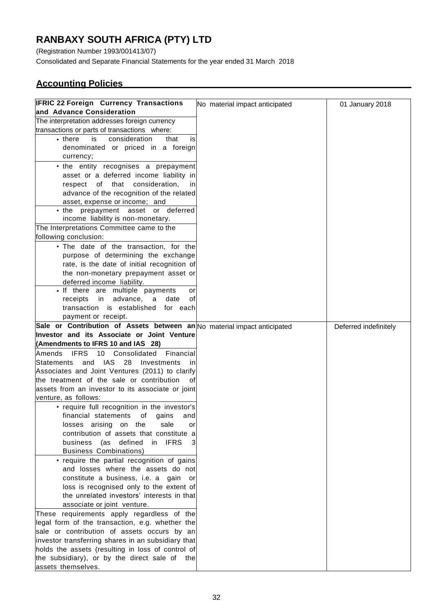(Registration Number 1993/001413/07)

Consolidated and Separate Financial Statements for the year ended 31 March 2018

### **Accounting Policies**

| <b>IFRIC 22 Foreign Currency Transactions</b><br>and Advance Consideration | No material impact anticipated | 01 January 2018       |
|----------------------------------------------------------------------------|--------------------------------|-----------------------|
| The interpretation addresses foreign currency                              |                                |                       |
| transactions or parts of transactions where:                               |                                |                       |
| consideration<br>• there<br>is<br>that<br>is                               |                                |                       |
| denominated or priced in a foreign                                         |                                |                       |
| currency;                                                                  |                                |                       |
| • the entity recognises a prepayment                                       |                                |                       |
| asset or a deferred income liability in                                    |                                |                       |
| of that<br>consideration,<br>respect<br>in                                 |                                |                       |
| advance of the recognition of the related                                  |                                |                       |
| asset, expense or income; and                                              |                                |                       |
| • the prepayment asset or deferred                                         |                                |                       |
| income liability is non-monetary.                                          |                                |                       |
| The Interpretations Committee came to the                                  |                                |                       |
| following conclusion:                                                      |                                |                       |
| • The date of the transaction, for the                                     |                                |                       |
| purpose of determining the exchange                                        |                                |                       |
| rate, is the date of initial recognition of                                |                                |                       |
| the non-monetary prepayment asset or                                       |                                |                       |
| deferred income liability.                                                 |                                |                       |
| • If there are multiple payments<br>or                                     |                                |                       |
| receipts<br>advance,<br>in<br>date<br>οf<br>a                              |                                |                       |
| transaction is established<br>for each                                     |                                |                       |
| payment or receipt.                                                        |                                |                       |
| Sale or Contribution of Assets between an No material impact anticipated   |                                | Deferred indefinitely |
| Investor and its Associate or Joint Venture                                |                                |                       |
| (Amendments to IFRS 10 and IAS 28)                                         |                                |                       |
| <b>IFRS</b><br>10<br>Consolidated<br>Amends<br>Financial                   |                                |                       |
| and IAS<br>28<br>Statements<br>Investments<br>inl                          |                                |                       |
| Associates and Joint Ventures (2011) to clarify                            |                                |                       |
| the treatment of the sale or contribution<br>οf                            |                                |                       |
| assets from an investor to its associate or joint                          |                                |                       |
| venture, as follows:                                                       |                                |                       |
| • require full recognition in the investor's                               |                                |                       |
| financial statements<br>of<br>gains<br>and<br>sale                         |                                |                       |
| losses arising on the<br>or<br>contribution of assets that constitute a    |                                |                       |
| business (as defined<br>in IFRS                                            |                                |                       |
| <b>Business Combinations)</b>                                              |                                |                       |
| • require the partial recognition of gains                                 |                                |                       |
| and losses where the assets do not                                         |                                |                       |
| constitute a business, i.e. a gain<br>or                                   |                                |                       |
| loss is recognised only to the extent of                                   |                                |                       |
| the unrelated investors' interests in that                                 |                                |                       |
| associate or joint venture.                                                |                                |                       |
| These requirements apply regardless of the                                 |                                |                       |
| legal form of the transaction, e.g. whether the                            |                                |                       |
| sale or contribution of assets occurs by an                                |                                |                       |
| investor transferring shares in an subsidiary that                         |                                |                       |
| holds the assets (resulting in loss of control of                          |                                |                       |
| the subsidiary), or by the direct sale of the                              |                                |                       |
| assets themselves.                                                         |                                |                       |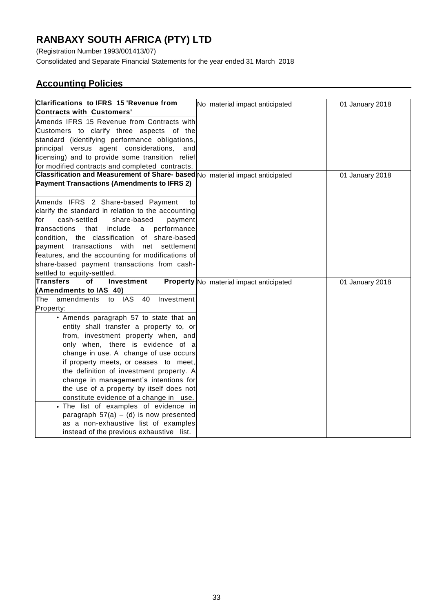(Registration Number 1993/001413/07)

Consolidated and Separate Financial Statements for the year ended 31 March 2018

### **Accounting Policies**

| Clarifications to IFRS 15 'Revenue from                                       | No material impact anticipated          | 01 January 2018 |
|-------------------------------------------------------------------------------|-----------------------------------------|-----------------|
| <b>Contracts with Customers'</b>                                              |                                         |                 |
| Amends IFRS 15 Revenue from Contracts with                                    |                                         |                 |
| Customers to clarify three aspects of the                                     |                                         |                 |
| standard (identifying performance obligations,                                |                                         |                 |
| principal versus agent considerations,<br>and                                 |                                         |                 |
| licensing) and to provide some transition relief                              |                                         |                 |
| for modified contracts and completed contracts.                               |                                         |                 |
| Classification and Measurement of Share- based No material impact anticipated |                                         | 01 January 2018 |
| Payment Transactions (Amendments to IFRS 2)                                   |                                         |                 |
|                                                                               |                                         |                 |
| Amends IFRS 2 Share-based Payment<br>to                                       |                                         |                 |
| clarify the standard in relation to the accounting                            |                                         |                 |
| cash-settled<br>share-based<br>payment<br>lfor                                |                                         |                 |
| include<br>performance<br>transactions<br>that<br>a                           |                                         |                 |
| condition, the classification of share-based                                  |                                         |                 |
| payment transactions<br>with<br>settlement<br>net                             |                                         |                 |
| features, and the accounting for modifications of                             |                                         |                 |
| share-based payment transactions from cash-                                   |                                         |                 |
| settled to equity-settled.                                                    |                                         |                 |
| <b>Transfers</b><br>of<br>Investment                                          | Property No material impact anticipated | 01 January 2018 |
| (Amendments to IAS 40)                                                        |                                         |                 |
| to IAS<br>amendments<br>40<br>Investment<br>lThe                              |                                         |                 |
| Property:                                                                     |                                         |                 |
| • Amends paragraph 57 to state that an                                        |                                         |                 |
| entity shall transfer a property to, or                                       |                                         |                 |
| from, investment property when, and                                           |                                         |                 |
| only when, there is evidence of a                                             |                                         |                 |
| change in use. A change of use occurs                                         |                                         |                 |
| if property meets, or ceases to meet,                                         |                                         |                 |
| the definition of investment property. A                                      |                                         |                 |
| change in management's intentions for                                         |                                         |                 |
| the use of a property by itself does not                                      |                                         |                 |
| constitute evidence of a change in use.                                       |                                         |                 |
| . The list of examples of evidence in                                         |                                         |                 |
| paragraph $57(a) - (d)$ is now presented                                      |                                         |                 |
| as a non-exhaustive list of examples                                          |                                         |                 |
| instead of the previous exhaustive list.                                      |                                         |                 |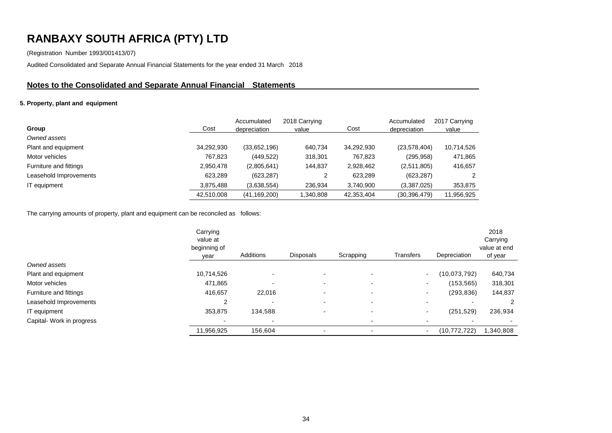(Registration Number 1993/001413/07)

Audited Consolidated and Separate Annual Financial Statements for the year ended 31 March 2018

#### **Notes to the Consolidated and Separate Annual Financial Statements**

#### **5. Property, plant and equipment**

|                        |            | Accumulated    | 2018 Carrying |            | Accumulated    | 2017 Carrying |
|------------------------|------------|----------------|---------------|------------|----------------|---------------|
| Group                  | Cost       | depreciation   | value         | Cost       | depreciation   | value         |
| Owned assets           |            |                |               |            |                |               |
| Plant and equipment    | 34,292,930 | (33,652,196)   | 640,734       | 34,292,930 | (23, 578, 404) | 10,714,526    |
| Motor vehicles         | 767,823    | (449, 522)     | 318,301       | 767.823    | (295, 958)     | 471,865       |
| Furniture and fittings | 2,950,478  | (2,805,641)    | 144,837       | 2,928,462  | (2,511,805)    | 416,657       |
| Leasehold Improvements | 623,289    | (623, 287)     |               | 623,289    | (623, 287)     | 2             |
| IT equipment           | 3,875,488  | (3,638,554)    | 236,934       | 3,740,900  | (3,387,025)    | 353,875       |
|                        | 42,510,008 | (41, 169, 200) | 1,340,808     | 42,353,404 | (30, 396, 479) | 11,956,925    |

The carrying amounts of property, plant and equipment can be reconciled as follows:

|                           | Carrying<br>value at<br>beginning of<br>year | Additions                | <b>Disposals</b>         | Scrapping                | <b>Transfers</b>         | Depreciation   | 2018<br>Carrying<br>value at end<br>of year |
|---------------------------|----------------------------------------------|--------------------------|--------------------------|--------------------------|--------------------------|----------------|---------------------------------------------|
| Owned assets              |                                              |                          |                          |                          |                          |                |                                             |
| Plant and equipment       | 10,714,526                                   | $\overline{\phantom{0}}$ | $\overline{\phantom{0}}$ |                          |                          | (10.073.792)   | 640,734                                     |
| Motor vehicles            | 471,865                                      | $\overline{\phantom{0}}$ | $\overline{\phantom{a}}$ | $\overline{\phantom{0}}$ | $\overline{\phantom{0}}$ | (153, 565)     | 318,301                                     |
| Furniture and fittings    | 416,657                                      | 22,016                   | -                        | $\overline{\phantom{0}}$ |                          | (293, 836)     | 144,837                                     |
| Leasehold Improvements    | 2                                            |                          | $\overline{\phantom{0}}$ | $\overline{\phantom{0}}$ |                          |                | 2                                           |
| IT equipment              | 353,875                                      | 134,588                  | $\overline{\phantom{0}}$ |                          |                          | (251, 529)     | 236,934                                     |
| Capital- Work in progress | $\overline{\phantom{0}}$                     | $\overline{\phantom{0}}$ |                          | $\overline{\phantom{0}}$ |                          |                |                                             |
|                           | 11,956,925                                   | 156,604                  | $\blacksquare$           | $\overline{\phantom{a}}$ | ۰.                       | (10, 772, 722) | 1,340,808                                   |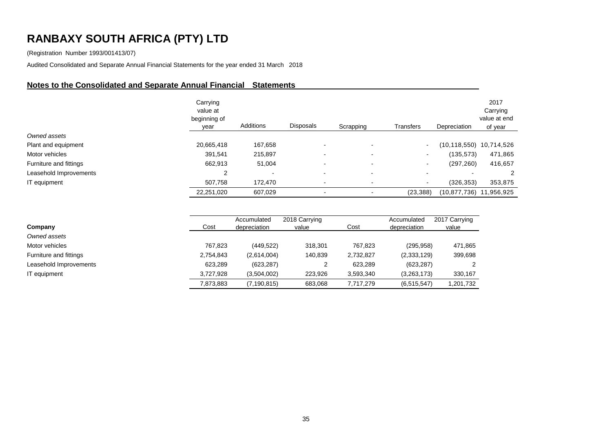(Registration Number 1993/001413/07)

Audited Consolidated and Separate Annual Financial Statements for the year ended 31 March 2018

#### **Notes to the Consolidated and Separate Annual Financial Statements**

|                        | Carrying<br>value at<br>beginning of<br>year | Additions                | Disposals                | Scrapping                | <b>Transfers</b>         | Depreciation                  | 2017<br>Carrying<br>value at end<br>of year |
|------------------------|----------------------------------------------|--------------------------|--------------------------|--------------------------|--------------------------|-------------------------------|---------------------------------------------|
| Owned assets           |                                              |                          |                          |                          |                          |                               |                                             |
| Plant and equipment    | 20,665,418                                   | 167,658                  | $\overline{\phantom{0}}$ | $\overline{\phantom{0}}$ | $\sim$                   | $(10, 118, 550)$ 10, 714, 526 |                                             |
| Motor vehicles         | 391,541                                      | 215,897                  | $\overline{\phantom{0}}$ | $\overline{\phantom{0}}$ | $\overline{\phantom{a}}$ | (135,573)                     | 471,865                                     |
| Furniture and fittings | 662,913                                      | 51,004                   | $\overline{\phantom{0}}$ | $\sim$                   | $\overline{\phantom{0}}$ | (297, 260)                    | 416,657                                     |
| Leasehold Improvements | 2                                            | $\overline{\phantom{a}}$ | $\blacksquare$           | . .                      | $\overline{\phantom{0}}$ | ۰                             |                                             |
| IT equipment           | 507,758                                      | 172,470                  | $\blacksquare$           | $\overline{\phantom{a}}$ | $\overline{\phantom{a}}$ | (326, 353)                    | 353,875                                     |
|                        | 22,251,020                                   | 607,029                  |                          |                          | (23, 388)                | (10,877,736) 11,956,925       |                                             |

|                        |           | Accumulated   | 2018 Carrying |           | Accumulated   | 2017 Carrying |
|------------------------|-----------|---------------|---------------|-----------|---------------|---------------|
| Company                | Cost      | depreciation  | value         | Cost      | depreciation  | value         |
| Owned assets           |           |               |               |           |               |               |
| Motor vehicles         | 767.823   | (449, 522)    | 318.301       | 767,823   | (295, 958)    | 471,865       |
| Furniture and fittings | 2,754,843 | (2,614,004)   | 140.839       | 2.732.827 | (2, 333, 129) | 399,698       |
| Leasehold Improvements | 623,289   | (623, 287)    |               | 623,289   | (623, 287)    |               |
| IT equipment           | 3.727.928 | (3,504,002)   | 223,926       | 3,593,340 | (3,263,173)   | 330,167       |
|                        | 7,873,883 | (7, 190, 815) | 683,068       | 7,717,279 | (6,515,547)   | 1,201,732     |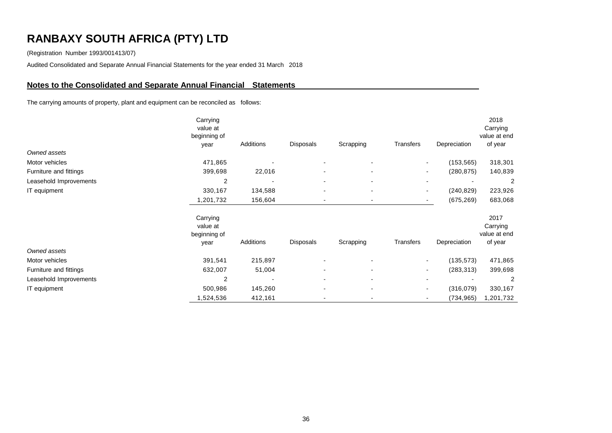(Registration Number 1993/001413/07)

Audited Consolidated and Separate Annual Financial Statements for the year ended 31 March 2018

#### **Notes to the Consolidated and Separate Annual Financial Statements**

The carrying amounts of property, plant and equipment can be reconciled as follows:

|                        | Carrying<br>value at<br>beginning of<br>year | Additions      | <b>Disposals</b>         | Scrapping                | Transfers      | Depreciation | 2018<br>Carrying<br>value at end<br>of year |
|------------------------|----------------------------------------------|----------------|--------------------------|--------------------------|----------------|--------------|---------------------------------------------|
| Owned assets           |                                              |                |                          |                          |                |              |                                             |
| Motor vehicles         | 471,865                                      |                | $\blacksquare$           | $\blacksquare$           | $\blacksquare$ | (153, 565)   | 318,301                                     |
| Furniture and fittings | 399,698                                      | 22,016         | $\overline{\phantom{0}}$ | $\overline{\phantom{a}}$ | $\overline{a}$ | (280, 875)   | 140,839                                     |
| Leasehold Improvements | 2                                            | $\blacksquare$ | $\overline{\phantom{0}}$ | $\overline{\phantom{a}}$ | $\blacksquare$ |              | 2                                           |
| IT equipment           | 330,167                                      | 134,588        | $\blacksquare$           | $\overline{\phantom{a}}$ |                | (240, 829)   | 223,926                                     |
|                        | 1,201,732                                    | 156,604        | $\overline{\phantom{0}}$ | $\blacksquare$           |                | (675, 269)   | 683,068                                     |
|                        | Carrying<br>value at<br>beginning of<br>year | Additions      | <b>Disposals</b>         | Scrapping                | Transfers      | Depreciation | 2017<br>Carrying<br>value at end<br>of year |
| Owned assets           |                                              |                |                          |                          |                |              |                                             |
| Motor vehicles         | 391,541                                      | 215,897        | $\blacksquare$           | $\overline{\phantom{a}}$ |                | (135, 573)   | 471,865                                     |
| Furniture and fittings | 632,007                                      | 51,004         | $\blacksquare$           | $\overline{\phantom{a}}$ | $\blacksquare$ | (283, 313)   | 399,698                                     |
| Leasehold Improvements | 2                                            |                | $\blacksquare$           | $\overline{\phantom{a}}$ |                |              | 2                                           |
| IT equipment           | 500,986                                      | 145,260        | $\blacksquare$           | $\overline{\phantom{a}}$ |                | (316, 079)   | 330,167                                     |
|                        | 1,524,536                                    | 412,161        |                          |                          |                | (734, 965)   | ,201,732                                    |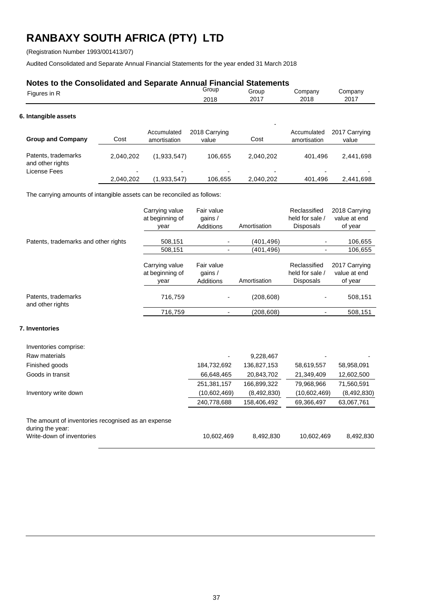(Registration Number 1993/001413/07)

Audited Consolidated and Separate Annual Financial Statements for the year ended 31 March 2018

### **Notes to the Consolidated and Separate Annual Financial Statements**

| Notes to the Consolidated and Separate Annual Financial<br>Figures in R |           |                                           | Group                              | Statements<br>Group<br>2017 | Company                                             | Company                                  |
|-------------------------------------------------------------------------|-----------|-------------------------------------------|------------------------------------|-----------------------------|-----------------------------------------------------|------------------------------------------|
|                                                                         |           |                                           | 2018                               |                             | 2018                                                | 2017                                     |
| 6. Intangible assets                                                    |           |                                           |                                    |                             |                                                     |                                          |
| <b>Group and Company</b>                                                | Cost      | Accumulated<br>amortisation               | 2018 Carrying<br>value             | Cost                        | Accumulated<br>amortisation                         | 2017 Carrying<br>value                   |
| Patents, trademarks<br>and other rights                                 | 2,040,202 | (1,933,547)                               | 106,655                            | 2,040,202                   | 401,496                                             | 2,441,698                                |
| License Fees                                                            | 2,040,202 | (1,933,547)                               | 106,655                            | 2,040,202                   | 401,496                                             | 2,441,698                                |
| The carrying amounts of intangible assets can be reconciled as follows: |           |                                           |                                    |                             |                                                     |                                          |
|                                                                         |           | Carrying value<br>at beginning of<br>year | Fair value<br>gains /<br>Additions | Amortisation                | Reclassified<br>held for sale /<br><b>Disposals</b> | 2018 Carrying<br>value at end<br>of year |
| Patents, trademarks and other rights                                    |           | 508,151                                   |                                    | (401, 496)                  |                                                     | 106,655                                  |
|                                                                         |           | 508,151                                   |                                    | (401, 496)                  |                                                     | 106,655                                  |
|                                                                         |           | Carrying value<br>at beginning of<br>year | Fair value<br>gains /<br>Additions | Amortisation                | Reclassified<br>held for sale /<br>Disposals        | 2017 Carrying<br>value at end<br>of year |
| Patents, trademarks<br>and other rights                                 |           | 716,759                                   |                                    | (208, 608)                  |                                                     | 508,151                                  |
|                                                                         |           | 716,759                                   | $\blacksquare$                     | (208, 608)                  | $\overline{\phantom{a}}$                            | 508,151                                  |
| 7. Inventories                                                          |           |                                           |                                    |                             |                                                     |                                          |
| Inventories comprise:                                                   |           |                                           |                                    |                             |                                                     |                                          |
| Raw materials                                                           |           |                                           |                                    | 9,228,467                   |                                                     |                                          |
| Finished goods                                                          |           |                                           | 184,732,692                        | 136,827,153                 | 58,619,557                                          | 58,958,091                               |
| Goods in transit                                                        |           |                                           | 66,648,465                         | 20,843,702                  | 21,349,409                                          | 12,602,500                               |
|                                                                         |           |                                           | 251,381,157                        | 166,899,322                 | 79,968,966                                          | 71,560,591                               |
| Inventory write down                                                    |           |                                           | (10,602,469)                       | (8,492,830)                 | (10,602,469)                                        | (8,492,830)                              |
|                                                                         |           |                                           | 240,778,688                        | 158,406,492                 | 69,366,497                                          | 63,067,761                               |
| The amount of inventories recognised as an expense                      |           |                                           |                                    |                             |                                                     |                                          |
| during the year:                                                        |           |                                           |                                    |                             |                                                     |                                          |
| Write-down of inventories                                               |           |                                           | 10,602,469                         | 8,492,830                   | 10,602,469                                          | 8,492,830                                |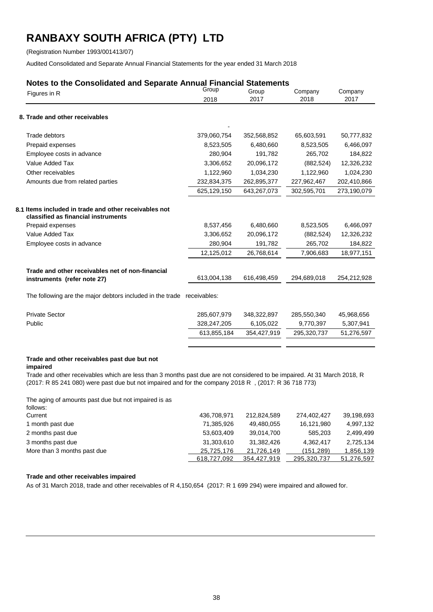(Registration Number 1993/001413/07)

Audited Consolidated and Separate Annual Financial Statements for the year ended 31 March 2018

| Notes to the Consolidated and Separate Annual Financial Statements<br>Figures in R                                                                               | Group                             | Group                              | Company                            | Company                            |
|------------------------------------------------------------------------------------------------------------------------------------------------------------------|-----------------------------------|------------------------------------|------------------------------------|------------------------------------|
|                                                                                                                                                                  | 2018                              | 2017                               | 2018                               | 2017                               |
| 8. Trade and other receivables                                                                                                                                   |                                   |                                    |                                    |                                    |
| <b>Trade debtors</b>                                                                                                                                             | 379,060,754                       | 352,568,852                        | 65,603,591                         | 50,777,832                         |
| Prepaid expenses                                                                                                                                                 | 8,523,505                         | 6,480,660                          | 8,523,505                          | 6,466,097                          |
| Employee costs in advance                                                                                                                                        | 280,904                           | 191,782                            | 265,702                            | 184,822                            |
| Value Added Tax                                                                                                                                                  | 3,306,652                         | 20,096,172                         | (882, 524)                         | 12,326,232                         |
| Other receivables                                                                                                                                                | 1,122,960                         | 1,034,230                          | 1,122,960                          | 1,024,230                          |
| Amounts due from related parties                                                                                                                                 | 232,834,375                       | 262,895,377                        | 227,962,467                        | 202,410,866                        |
|                                                                                                                                                                  | 625,129,150                       | 643,267,073                        | 302,595,701                        | 273,190,079                        |
| 8.1 Items included in trade and other receivables not<br>classified as financial instruments<br>Prepaid expenses<br>Value Added Tax<br>Employee costs in advance | 8,537,456<br>3,306,652<br>280,904 | 6,480,660<br>20,096,172<br>191,782 | 8,523,505<br>(882, 524)<br>265,702 | 6,466,097<br>12,326,232<br>184,822 |
|                                                                                                                                                                  | 12,125,012                        | 26,768,614                         | 7,906,683                          | 18,977,151                         |
| Trade and other receivables net of non-financial<br>instruments (refer note 27)                                                                                  | 613,004,138                       | 616,498,459                        | 294,689,018                        | 254,212,928                        |
| The following are the major debtors included in the trade receivables:                                                                                           |                                   |                                    |                                    |                                    |
| <b>Private Sector</b>                                                                                                                                            | 285,607,979                       | 348,322,897                        | 285,550,340                        | 45,968,656                         |
| Public                                                                                                                                                           | 328,247,205                       | 6,105,022                          | 9,770,397                          | 5,307,941                          |
|                                                                                                                                                                  | 613,855,184                       | 354,427,919                        | 295,320,737                        | 51,276,597                         |
|                                                                                                                                                                  |                                   |                                    |                                    |                                    |

### **Notes to the Consolidated and Separate Annual Financial Statements**

#### **Trade and other receivables past due but not**

**impaired**

follows:

Trade and other receivables which are less than 3 months past due are not considered to be impaired. At 31 March 2018, R (2017: R 85 241 080) were past due but not impaired and for the company 2018 R , (2017: R 36 718 773)

The aging of amounts past due but not impaired is as

| iviivwo.                    |             |             |             |            |
|-----------------------------|-------------|-------------|-------------|------------|
| Current                     | 436.708.971 | 212.824.589 | 274.402.427 | 39.198.693 |
| 1 month past due            | 71,385,926  | 49,480,055  | 16,121,980  | 4,997,132  |
| 2 months past due           | 53,603,409  | 39,014,700  | 585.203     | 2,499,499  |
| 3 months past due           | 31.303.610  | 31.382.426  | 4.362.417   | 2,725,134  |
| More than 3 months past due | 25.725.176  | 21.726.149  | (151,289)   | 1,856,139  |
|                             | 618,727,092 | 354.427.919 | 295,320,737 | 51,276,597 |

#### **Trade and other receivables impaired**

As of 31 March 2018, trade and other receivables of R 4,150,654 (2017: R 1 699 294) were impaired and allowed for.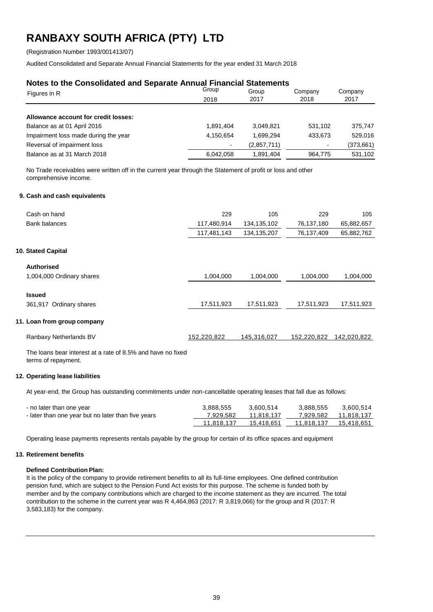#### (Registration Number 1993/001413/07)

Audited Consolidated and Separate Annual Financial Statements for the year ended 31 March 2018

#### **Notes to the Consolidated and Separate Annual Financial Statements**

| Figures in R                         | Group     | Group       | Company | Company   |  |
|--------------------------------------|-----------|-------------|---------|-----------|--|
|                                      | 2018      | 2017        | 2018    | 2017      |  |
|                                      |           |             |         |           |  |
| Allowance account for credit losses: |           |             |         |           |  |
| Balance as at 01 April 2016          | 1.891.404 | 3.049.821   | 531.102 | 375.747   |  |
| Impairment loss made during the year | 4.150.654 | 1.699.294   | 433.673 | 529.016   |  |
| Reversal of impairment loss          |           | (2,857,711) |         | (373,661) |  |
| Balance as at 31 March 2018          | 6.042.058 | 1,891,404   | 964.775 | 531,102   |  |
|                                      |           |             |         |           |  |

No Trade receivables were written off in the current year through the Statement of profit or loss and other comprehensive income.

#### **9. Cash and cash equivalents**

| Cash on hand                                                                       | 229         | 105           | 229         | 105         |
|------------------------------------------------------------------------------------|-------------|---------------|-------------|-------------|
| <b>Bank balances</b>                                                               | 117,480,914 | 134,135,102   | 76,137,180  | 65,882,657  |
|                                                                                    | 117,481,143 | 134, 135, 207 | 76,137,409  | 65,882,762  |
| <b>10. Stated Capital</b>                                                          |             |               |             |             |
| <b>Authorised</b>                                                                  |             |               |             |             |
| 1,004,000 Ordinary shares                                                          | 1,004,000   | 1,004,000     | 1,004,000   | 1,004,000   |
| <b>Issued</b><br>361,917 Ordinary shares                                           | 17,511,923  | 17,511,923    | 17,511,923  | 17,511,923  |
| 11. Loan from group company                                                        |             |               |             |             |
| Ranbaxy Netherlands BV                                                             | 152,220,822 | 145,316,027   | 152,220,822 | 142,020,822 |
| The loans bear interest at a rate of 8.5% and have no fixed<br>terms of repayment. |             |               |             |             |

#### **12. Operating lease liabilities**

At year-end, the Group has outstanding commitments under non-cancellable operating leases that fall due as follows:

| - no later than one year                           | 3.888.555  | 3.600.514  | 3.888.555  | 3.600.514  |
|----------------------------------------------------|------------|------------|------------|------------|
| - later than one year but no later than five years | 7.929.582  | 11.818.137 | 7.929.582  | 11.818.137 |
|                                                    | 11.818.137 | 15.418.651 | 11.818.137 | 15.418.651 |

Operating lease payments represents rentals payable by the group for certain of its office spaces and equipment

#### **13. Retirement benefits**

#### **Defined Contribution Plan:**

It is the policy of the company to provide retirement benefits to all its full-time employees. One defined contribution pension fund, which are subject to the Pension Fund Act exists for this purpose. The scheme is funded both by member and by the company contributions which are charged to the income statement as they are incurred. The total contribution to the scheme in the current year was R 4,464,863 (2017: R 3,819,066) for the group and R (2017: R 3,583,183) for the company.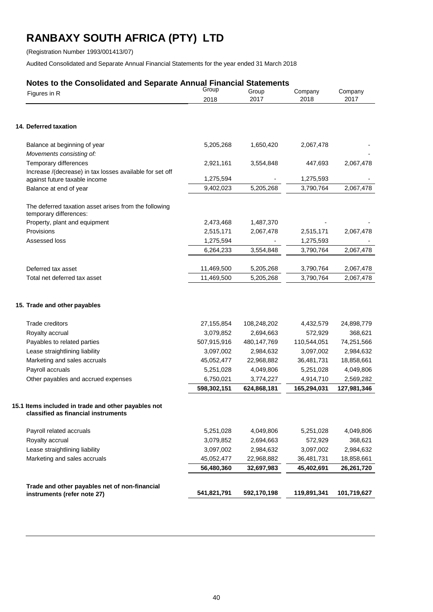(Registration Number 1993/001413/07)

Audited Consolidated and Separate Annual Financial Statements for the year ended 31 March 2018

| Figures in R                                                                               | Group       | Group       | Company     | Company     |
|--------------------------------------------------------------------------------------------|-------------|-------------|-------------|-------------|
|                                                                                            | 2018        | 2017        | 2018        | 2017        |
|                                                                                            |             |             |             |             |
| 14. Deferred taxation                                                                      |             |             |             |             |
| Balance at beginning of year                                                               | 5,205,268   | 1,650,420   | 2,067,478   |             |
| Movements consisting of:                                                                   |             |             |             |             |
| Temporary differences                                                                      | 2,921,161   | 3,554,848   | 447,693     | 2,067,478   |
| Increase /(decrease) in tax losses available for set off                                   |             |             |             |             |
| against future taxable income                                                              | 1,275,594   |             | 1,275,593   |             |
| Balance at end of year                                                                     | 9,402,023   | 5,205,268   | 3,790,764   | 2,067,478   |
| The deferred taxation asset arises from the following<br>temporary differences:            |             |             |             |             |
| Property, plant and equipment                                                              | 2,473,468   | 1,487,370   |             |             |
| Provisions                                                                                 | 2,515,171   | 2,067,478   | 2,515,171   | 2,067,478   |
| Assessed loss                                                                              | 1,275,594   |             | 1,275,593   |             |
|                                                                                            | 6,264,233   | 3,554,848   | 3,790,764   | 2,067,478   |
| Deferred tax asset                                                                         | 11,469,500  | 5,205,268   | 3,790,764   | 2,067,478   |
| Total net deferred tax asset                                                               | 11,469,500  | 5,205,268   | 3,790,764   | 2,067,478   |
| 15. Trade and other payables                                                               |             |             |             |             |
| <b>Trade creditors</b>                                                                     | 27,155,854  | 108,248,202 | 4,432,579   | 24,898,779  |
| Royalty accrual                                                                            | 3,079,852   | 2,694,663   | 572,929     | 368,621     |
| Payables to related parties                                                                | 507,915,916 | 480,147,769 | 110,544,051 | 74,251,566  |
| Lease straightlining liability                                                             | 3,097,002   | 2,984,632   | 3,097,002   | 2,984,632   |
| Marketing and sales accruals                                                               | 45,052,477  | 22,968,882  | 36,481,731  | 18,858,661  |
| Payroll accruals                                                                           | 5,251,028   | 4,049,806   | 5,251,028   | 4,049,806   |
| Other payables and accrued expenses                                                        | 6,750,021   | 3,774,227   | 4,914,710   | 2,569,282   |
|                                                                                            | 598,302,151 | 624,868,181 | 165,294,031 | 127,981,346 |
|                                                                                            |             |             |             |             |
| 15.1 Items included in trade and other payables not<br>classified as financial instruments |             |             |             |             |
| Payroll related accruals                                                                   | 5,251,028   | 4,049,806   | 5,251,028   | 4,049,806   |
| Royalty accrual                                                                            | 3,079,852   | 2,694,663   | 572,929     | 368,621     |
| Lease straightlining liability                                                             | 3,097,002   | 2,984,632   | 3,097,002   | 2,984,632   |
| Marketing and sales accruals                                                               | 45,052,477  | 22,968,882  | 36,481,731  | 18,858,661  |
|                                                                                            | 56,480,360  | 32,697,983  | 45,402,691  | 26,261,720  |
|                                                                                            |             |             |             |             |
| Trade and other payables net of non-financial                                              |             | 592,170,198 |             |             |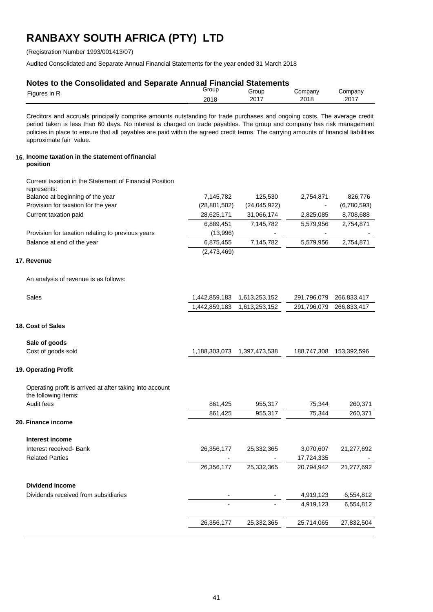(Registration Number 1993/001413/07)

Audited Consolidated and Separate Annual Financial Statements for the year ended 31 March 2018

#### **Notes to the Consolidated and Separate Annual Financial Statements**

| $-$<br>Figures in R | Grouc | Grour | Company | <b>Company</b> |
|---------------------|-------|-------|---------|----------------|
|                     | 2018  | 2017  | 2018    | 2017           |

Creditors and accruals principally comprise amounts outstanding for trade purchases and ongoing costs. The average credit period taken is less than 60 days. No interest is charged on trade payables. The group and company has risk management policies in place to ensure that all payables are paid within the agreed credit terms. The carrying amounts of financial liabilities approximate fair value.

#### **16. Income taxation in the statement offinancial position**

| position                                                                         |                |                |                |             |
|----------------------------------------------------------------------------------|----------------|----------------|----------------|-------------|
| Current taxation in the Statement of Financial Position<br>represents:           |                |                |                |             |
| Balance at beginning of the year                                                 | 7,145,782      | 125,530        | 2,754,871      | 826,776     |
| Provision for taxation for the year                                              | (28, 881, 502) | (24, 045, 922) | $\frac{1}{2}$  | (6,780,593) |
| Current taxation paid                                                            | 28,625,171     | 31,066,174     | 2,825,085      | 8,708,688   |
|                                                                                  | 6,889,451      | 7,145,782      | 5,579,956      | 2,754,871   |
| Provision for taxation relating to previous years                                | (13,996)       |                | $\blacksquare$ |             |
| Balance at end of the year                                                       | 6,875,455      | 7,145,782      | 5,579,956      | 2,754,871   |
|                                                                                  | (2,473,469)    |                |                |             |
| 17. Revenue                                                                      |                |                |                |             |
| An analysis of revenue is as follows:                                            |                |                |                |             |
| Sales                                                                            | 1,442,859,183  | 1,613,253,152  | 291,796,079    | 266,833,417 |
|                                                                                  | 1,442,859,183  | 1,613,253,152  | 291,796,079    | 266,833,417 |
| 18. Cost of Sales                                                                |                |                |                |             |
| Sale of goods                                                                    |                |                |                |             |
| Cost of goods sold                                                               | 1,188,303,073  | 1,397,473,538  | 188,747,308    | 153,392,596 |
| 19. Operating Profit                                                             |                |                |                |             |
| Operating profit is arrived at after taking into account<br>the following items: |                |                |                |             |
| Audit fees                                                                       | 861,425        | 955,317        | 75,344         | 260,371     |
|                                                                                  | 861,425        | 955,317        | 75,344         | 260,371     |
| 20. Finance income                                                               |                |                |                |             |
| Interest income                                                                  |                |                |                |             |
| Interest received- Bank                                                          | 26,356,177     | 25,332,365     | 3,070,607      | 21,277,692  |
| <b>Related Parties</b>                                                           |                |                | 17,724,335     |             |
|                                                                                  | 26,356,177     | 25,332,365     | 20,794,942     | 21,277,692  |
| <b>Dividend income</b>                                                           |                |                |                |             |
| Dividends received from subsidiaries                                             |                |                | 4,919,123      | 6,554,812   |
|                                                                                  |                |                | 4,919,123      | 6,554,812   |
|                                                                                  | 26,356,177     | 25,332,365     | 25,714,065     | 27,832,504  |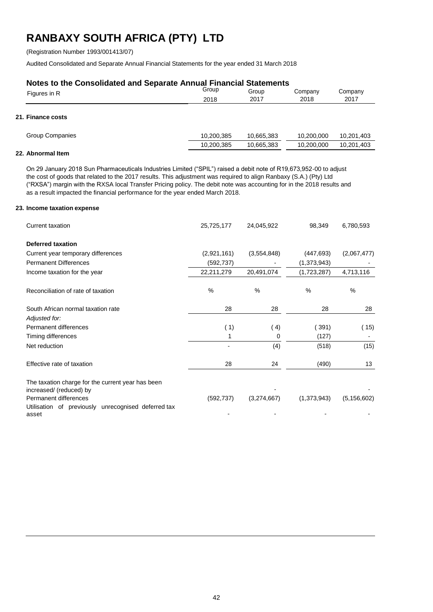(Registration Number 1993/001413/07)

Audited Consolidated and Separate Annual Financial Statements for the year ended 31 March 2018

#### **Notes to the Consolidated and Separate Annual Financial Statements**

| Figures in R           | Group      | Group      | Company    | Company    |
|------------------------|------------|------------|------------|------------|
|                        | 2018       | 2017       | 2018       | 2017       |
| 21. Finance costs      |            |            |            |            |
| <b>Group Companies</b> | 10,200,385 | 10,665,383 | 10.200.000 | 10,201,403 |
|                        | 10,200,385 | 10,665,383 | 10,200,000 | 10,201,403 |
| 22. Abnormal Item      |            |            |            |            |

On 29 January 2018 Sun Pharmaceuticals Industries Limited ("SPIL") raised a debit note of R19,673,952-00 to adjust the cost of goods that related to the 2017 results. This adjustment was required to align Ranbaxy (S.A.) (Pty) Ltd ("RXSA") margin with the RXSA local Transfer Pricing policy. The debit note was accounting for in the 2018 results and as a result impacted the financial performance for the year ended March 2018.

#### **23. Income taxation expense**

| Current taxation                                    | 25,725,177  | 24,045,922    | 98,349      | 6,780,593     |
|-----------------------------------------------------|-------------|---------------|-------------|---------------|
| Deferred taxation                                   |             |               |             |               |
| Current year temporary differences                  | (2,921,161) | (3, 554, 848) | (447, 693)  | (2,067,477)   |
| <b>Permanent Differences</b>                        | (592, 737)  |               | (1,373,943) |               |
| Income taxation for the year                        | 22,211,279  | 20,491,074    | (1,723,287) | 4,713,116     |
| Reconciliation of rate of taxation                  | $\%$        | $\%$          | $\%$        | $\%$          |
| South African normal taxation rate                  | 28          | 28            | 28          | 28            |
| Adjusted for:                                       |             |               |             |               |
| Permanent differences                               | (1)         | 4)            | (391)       | (15)          |
| Timing differences                                  | 1           | 0             | (127)       |               |
| Net reduction                                       |             | (4)           | (518)       | (15)          |
| Effective rate of taxation                          | 28          | 24            | (490)       | 13            |
| The taxation charge for the current year has been   |             |               |             |               |
| increased/ (reduced) by                             |             |               |             |               |
| Permanent differences                               | (592, 737)  | (3,274,667)   | (1,373,943) | (5, 156, 602) |
| Utilisation of previously unrecognised deferred tax |             |               |             |               |
| asset                                               |             |               |             |               |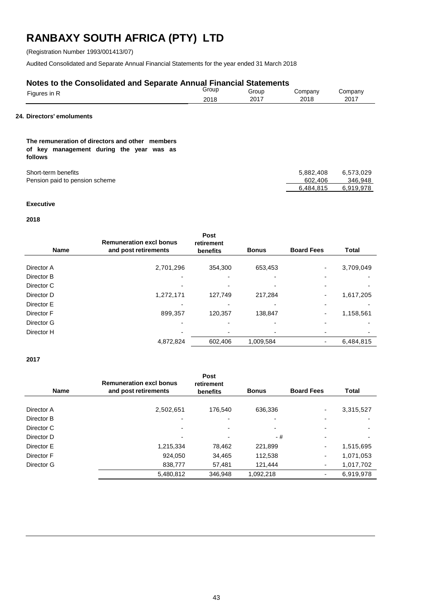(Registration Number 1993/001413/07)

Audited Consolidated and Separate Annual Financial Statements for the year ended 31 March 2018

#### **Notes to the Consolidated and Separate Annual Financial Statements**

| Figures in R | Group          | Group | Company | วmpanv |
|--------------|----------------|-------|---------|--------|
|              | 2010<br>20 I O | 2017  | ንስ4 ር   | 2017   |
|              |                |       |         |        |

#### **24. Directors' emoluments**

#### **The remuneration of directors and other members of key management during the year was as follows**

| Short-term benefits            | 5.882.408 | 6.573.029 |
|--------------------------------|-----------|-----------|
| Pension paid to pension scheme | 602.406   | 346.948   |
|                                | 6.484.815 | 6.919.978 |

#### **Executive**

#### **2018**

| <b>Name</b> | <b>Remuneration excl bonus</b><br>and post retirements | Post<br>retirement<br>benefits | <b>Bonus</b> | <b>Board Fees</b> | <b>Total</b> |
|-------------|--------------------------------------------------------|--------------------------------|--------------|-------------------|--------------|
|             |                                                        |                                |              |                   |              |
| Director A  | 2,701,296                                              | 354,300                        | 653,453      |                   | 3,709,049    |
| Director B  | $\overline{\phantom{0}}$                               |                                |              | -                 |              |
| Director C  |                                                        |                                |              |                   |              |
| Director D  | 1,272,171                                              | 127,749                        | 217,284      | ۰.                | 1,617,205    |
| Director E  |                                                        |                                |              |                   |              |
| Director F  | 899,357                                                | 120,357                        | 138,847      | ۰.                | 1,158,561    |
| Director G  |                                                        |                                |              |                   |              |
| Director H  |                                                        |                                |              |                   |              |
|             | 4,872,824                                              | 602,406                        | 1,009,584    |                   | 6,484,815    |

#### **2017**

| <b>Name</b> | <b>Remuneration excl bonus</b><br>and post retirements | Post<br>retirement<br>benefits | <b>Bonus</b> | <b>Board Fees</b> | Total                    |
|-------------|--------------------------------------------------------|--------------------------------|--------------|-------------------|--------------------------|
|             |                                                        |                                |              |                   |                          |
| Director A  | 2,502,651                                              | 176.540                        | 636,336      |                   | 3,315,527                |
| Director B  |                                                        |                                |              |                   |                          |
| Director C  |                                                        |                                |              |                   |                          |
| Director D  | $\blacksquare$                                         | $\blacksquare$                 | - #          |                   | $\overline{\phantom{0}}$ |
| Director E  | 1,215,334                                              | 78,462                         | 221,899      | ۰                 | 1,515,695                |
| Director F  | 924.050                                                | 34.465                         | 112,538      | ۰                 | 1,071,053                |
| Director G  | 838.777                                                | 57,481                         | 121.444      |                   | 1,017,702                |
|             | 5,480,812                                              | 346,948                        | 1,092,218    | ۰                 | 6,919,978                |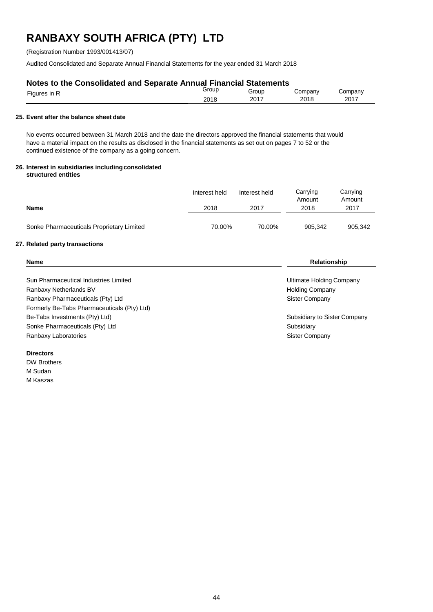(Registration Number 1993/001413/07)

Audited Consolidated and Separate Annual Financial Statements for the year ended 31 March 2018

#### **Notes to the Consolidated and Separate Annual Financial Statements**

| $- \cdot$<br>Figures in R | Group | Group | Company | Company |
|---------------------------|-------|-------|---------|---------|
|                           | 2018  | 2017  | 2018    | $201^-$ |

#### **25. Event after the balance sheet date**

No events occurred between 31 March 2018 and the date the directors approved the financial statements that would have a material impact on the results as disclosed in the financial statements as set out on pages 7 to 52 or the continued existence of the company as a going concern.

#### **26. Interest in subsidiaries includingconsolidated**

#### **structured entities**

|                                           | Interest held | Interest held | Carrying<br>Amount | Carrying<br>Amount |
|-------------------------------------------|---------------|---------------|--------------------|--------------------|
| <b>Name</b>                               | 2018          | 2017          | 2018               | 2017               |
| Sonke Pharmaceuticals Proprietary Limited | 70.00%        | 70.00%        | 905.342            | 905,342            |

#### **27. Related party transactions**

| <b>Name</b>                                 | <b>Relationship</b>      |
|---------------------------------------------|--------------------------|
| Sun Pharmaceutical Industries Limited       | Ultimate Holding Company |
| Ranbaxy Netherlands BV                      | <b>Holding Company</b>   |
| Ranbaxy Pharmaceuticals (Pty) Ltd           | Sister Company           |
| Formerly Be-Tabs Pharmaceuticals (Pty) Ltd) |                          |

Be-Tabs Investments (Pty) Ltd) and Subsidiary to Sister Company Sonke Pharmaceuticals (Pty) Ltd Subsidiary 30 and Subsidiary Subsidiary Subsidiary Ranbaxy Laboratories **Sister Company Company Company Company Company Company Company Company Company** 

**Directors** 

DW Brothers M Sudan M Kaszas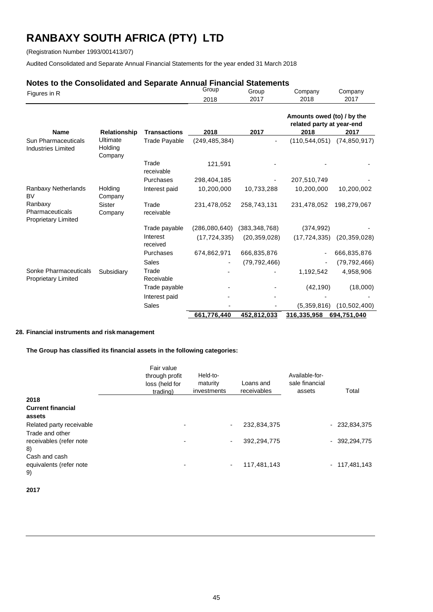(Registration Number 1993/001413/07)

Audited Consolidated and Separate Annual Financial Statements for the year ended 31 March 2018

#### **Notes to the Consolidated and Separate Annual Financial Statements**

| Figures in R                                             |                                |                      | Group           | Group           | Company                                                 | Company        |
|----------------------------------------------------------|--------------------------------|----------------------|-----------------|-----------------|---------------------------------------------------------|----------------|
|                                                          |                                |                      | 2018            | 2017            | 2018                                                    | 2017           |
|                                                          |                                |                      |                 |                 | Amounts owed (to) / by the<br>related party at year-end |                |
| <b>Name</b>                                              | Relationship                   | <b>Transactions</b>  | 2018            | 2017            | 2018                                                    | 2017           |
| <b>Sun Pharmaceuticals</b><br><b>Industries Limited</b>  | Ultimate<br>Holding<br>Company | <b>Trade Payable</b> | (249, 485, 384) |                 | (110, 544, 051)                                         | (74, 850, 917) |
|                                                          |                                | Trade<br>receivable  | 121,591         |                 |                                                         |                |
|                                                          |                                | Purchases            | 298,404,185     |                 | 207,510,749                                             |                |
| Ranbaxy Netherlands<br>BV                                | Holding<br>Company             | Interest paid        | 10,200,000      | 10,733,288      | 10,200,000                                              | 10,200,002     |
| Ranbaxy<br>Pharmaceuticals<br><b>Proprietary Limited</b> | <b>Sister</b><br>Company       | Trade<br>receivable  | 231,478,052     | 258,743,131     | 231,478,052                                             | 198,279,067    |
|                                                          |                                | Trade payable        | (286,080,640)   | (383, 348, 768) | (374, 992)                                              |                |
|                                                          |                                | Interest<br>received | (17, 724, 335)  | (20, 359, 028)  | (17, 724, 335)                                          | (20, 359, 028) |
|                                                          |                                | Purchases            | 674,862,971     | 666,835,876     |                                                         | 666,835,876    |
|                                                          |                                | Sales                |                 | (79, 792, 466)  |                                                         | (79, 792, 466) |
| Sonke Pharmaceuticals<br><b>Proprietary Limited</b>      | Subsidiary                     | Trade<br>Receivable  |                 |                 | 1,192,542                                               | 4,958,906      |
|                                                          |                                | Trade payable        |                 |                 | (42, 190)                                               | (18,000)       |
|                                                          |                                | Interest paid        |                 |                 |                                                         |                |
|                                                          |                                | Sales                |                 |                 | (5,359,816)                                             | (10, 502, 400) |
|                                                          |                                |                      | 661,776,440     | 452,812,033     | 316,335,958                                             | 694,751,040    |

#### **28. Financial instruments and riskmanagement**

**The Group has classified its financial assets in the following categories:**

|                                                  | Fair value<br>through profit<br>loss (held for<br>trading) | Held-to-<br>maturity<br>investments | Loans and<br>receivables | Available-for-<br>sale financial<br>assets | Total          |
|--------------------------------------------------|------------------------------------------------------------|-------------------------------------|--------------------------|--------------------------------------------|----------------|
| 2018                                             |                                                            |                                     |                          |                                            |                |
| <b>Current financial</b><br>assets               |                                                            |                                     |                          |                                            |                |
| Related party receivable                         | $\blacksquare$                                             | $\blacksquare$                      | 232,834,375              |                                            | $-232,834,375$ |
| Trade and other<br>receivables (refer note<br>8) | $\blacksquare$                                             | $\blacksquare$                      | 392,294,775              |                                            | $-392,294,775$ |
| Cash and cash<br>equivalents (refer note<br>9)   | $\overline{\phantom{a}}$                                   | $\overline{\phantom{a}}$            | 117,481,143              |                                            | $-117,481,143$ |

**2017**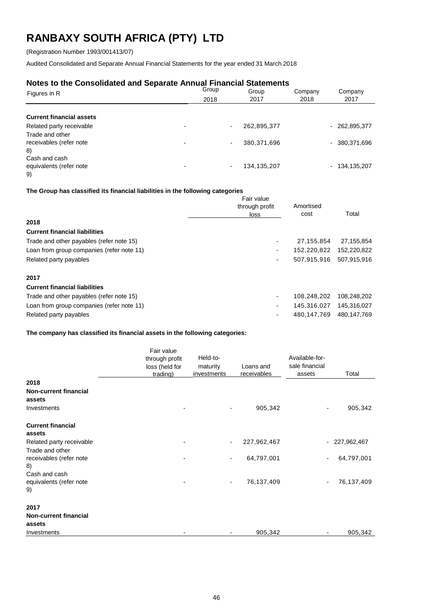(Registration Number 1993/001413/07)

Audited Consolidated and Separate Annual Financial Statements for the year ended 31 March 2018

#### **Notes to the Consolidated and Separate Annual Financial Statements**

| Figures in R                    | Group          | Group                                     | Company | Company        |
|---------------------------------|----------------|-------------------------------------------|---------|----------------|
|                                 | 2018           | 2017                                      | 2018    | 2017           |
|                                 |                |                                           |         |                |
| <b>Current financial assets</b> |                |                                           |         |                |
| Related party receivable        | $\blacksquare$ | 262,895,377<br>۰.                         |         | $-262,895,377$ |
| Trade and other                 |                |                                           |         |                |
| receivables (refer note         | -              | 380,371,696<br>-                          |         | $-380,371,696$ |
| 8)                              |                |                                           |         |                |
| Cash and cash                   |                |                                           |         |                |
| equivalents (refer note         | $\blacksquare$ | 134, 135, 207<br>$\overline{\phantom{a}}$ |         | $-134,135,207$ |
| 9)                              |                |                                           |         |                |

#### **The Group has classified its financial liabilities in the following categories**

|                                           | Fair value<br>through profit<br>loss | Amortised<br>cost | Total       |
|-------------------------------------------|--------------------------------------|-------------------|-------------|
| 2018                                      |                                      |                   |             |
| <b>Current financial liabilities</b>      |                                      |                   |             |
| Trade and other payables (refer note 15)  | -                                    | 27, 155, 854      | 27,155,854  |
| Loan from group companies (refer note 11) | ۰.                                   | 152.220.822       | 152,220,822 |
| Related party payables                    | Ξ.                                   | 507.915.916       | 507,915,916 |
| 2017                                      |                                      |                   |             |
| <b>Current financial liabilities</b>      |                                      |                   |             |
| Trade and other payables (refer note 15)  | ٠                                    | 108,248,202       | 108,248,202 |
| Loan from group companies (refer note 11) | ۰.                                   | 145,316,027       | 145,316,027 |
| Related party payables                    |                                      | 480.147.769       | 480.147.769 |

#### **The company has classified its financial assets in the following categories:**

|                              | Fair value<br>through profit<br>loss (held for<br>trading) | Held-to-<br>maturity<br>investments | Loans and<br>receivables | Available-for-<br>sale financial<br>assets | Total         |
|------------------------------|------------------------------------------------------------|-------------------------------------|--------------------------|--------------------------------------------|---------------|
| 2018                         |                                                            |                                     |                          |                                            |               |
| <b>Non-current financial</b> |                                                            |                                     |                          |                                            |               |
| assets                       |                                                            |                                     |                          |                                            |               |
| Investments                  |                                                            |                                     | 905,342                  |                                            | 905,342       |
| <b>Current financial</b>     |                                                            |                                     |                          |                                            |               |
| assets                       |                                                            |                                     |                          |                                            |               |
| Related party receivable     |                                                            |                                     | 227,962,467              |                                            | - 227,962,467 |
| Trade and other              |                                                            |                                     |                          |                                            |               |
| receivables (refer note      |                                                            | $\blacksquare$                      | 64,797,001               | $\blacksquare$                             | 64,797,001    |
| 8)                           |                                                            |                                     |                          |                                            |               |
| Cash and cash                |                                                            |                                     |                          |                                            |               |
| equivalents (refer note      |                                                            | ۰                                   | 76,137,409               |                                            | 76,137,409    |
| 9)                           |                                                            |                                     |                          |                                            |               |
| 2017                         |                                                            |                                     |                          |                                            |               |
| <b>Non-current financial</b> |                                                            |                                     |                          |                                            |               |
| assets                       |                                                            |                                     |                          |                                            |               |
| Investments                  |                                                            |                                     | 905,342                  |                                            | 905,342       |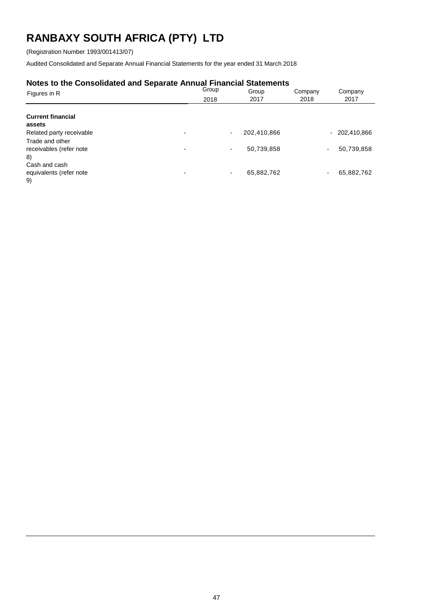(Registration Number 1993/001413/07)

Audited Consolidated and Separate Annual Financial Statements for the year ended 31 March 2018

# **Notes to the Consolidated and Separate Annual Financial Statements** Group

| Figures in R             | Group                    | Group             | Company | Company         |
|--------------------------|--------------------------|-------------------|---------|-----------------|
|                          | 2018                     | 2017              | 2018    | 2017            |
|                          |                          |                   |         |                 |
| <b>Current financial</b> |                          |                   |         |                 |
| assets                   |                          |                   |         |                 |
| Related party receivable | ٠                        | 202,410,866<br>Ξ. |         | $-202,410,866$  |
| Trade and other          |                          |                   |         |                 |
| receivables (refer note  | $\overline{\phantom{a}}$ | 50,739,858<br>-   |         | 50,739,858<br>- |
| 8)                       |                          |                   |         |                 |
| Cash and cash            |                          |                   |         |                 |
| equivalents (refer note  | ۰                        | 65,882,762<br>۰   |         | 65,882,762      |
| 9)                       |                          |                   |         |                 |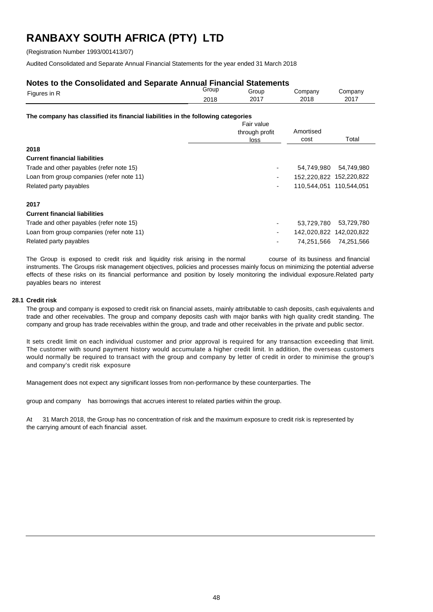(Registration Number 1993/001413/07)

Audited Consolidated and Separate Annual Financial Statements for the year ended 31 March 2018

#### **Notes to the Consolidated and Separate Annual Financial Statements**

| $-$<br>Figures in R | Group | Group        | ∴ompanv       | ompanyٺ |
|---------------------|-------|--------------|---------------|---------|
|                     | 2018  | 2017<br>∠∪ ′ | ንስ4 ¢<br>ZUIC | 2017    |
|                     |       |              |               |         |

#### **The company has classified its financial liabilities in the following categories**

|                                           | Fair value<br>through profit<br>loss | Amortised<br>cost       | Total       |
|-------------------------------------------|--------------------------------------|-------------------------|-------------|
| 2018                                      |                                      |                         |             |
| <b>Current financial liabilities</b>      |                                      |                         |             |
| Trade and other payables (refer note 15)  |                                      | 54.749.980              | 54.749.980  |
| Loan from group companies (refer note 11) | $\blacksquare$                       | 152.220.822 152.220.822 |             |
| Related party payables                    | $\overline{\phantom{a}}$             | 110.544.051 110.544.051 |             |
| 2017                                      |                                      |                         |             |
| <b>Current financial liabilities</b>      |                                      |                         |             |
| Trade and other payables (refer note 15)  | ٠                                    | 53.729.780              | 53,729,780  |
| Loan from group companies (refer note 11) | $\blacksquare$                       | 142,020,822             | 142,020,822 |
| Related party payables                    | ٠                                    | 74.251.566              | 74.251.566  |

The Group is exposed to credit risk and liquidity risk arising in the normal course of its business and financial instruments. The Groups risk management objectives, policies and processes mainly focus on minimizing the potential adverse effects of these risks on its financial performance and position by losely monitoring the individual exposure.Related party payables bears no interest

#### **28.1 Credit risk**

The group and company is exposed to credit risk on financial assets, mainly attributable to cash deposits, cash equivalents and trade and other receivables. The group and company deposits cash with major banks with high quality credit standing. The company and group has trade receivables within the group, and trade and other receivables in the private and public sector.

It sets credit limit on each individual customer and prior approval is required for any transaction exceeding that limit. The customer with sound payment history would accumulate a higher credit limit. In addition, the overseas customers would normally be required to transact with the group and company by letter of credit in order to minimise the group's and company's credit risk exposure

Management does not expect any significant losses from non-performance by these counterparties. The

group and company has borrowings that accrues interest to related parties within the group.

At 31 March 2018, the Group has no concentration of risk and the maximum exposure to credit risk is represented by the carrying amount of each financial asset.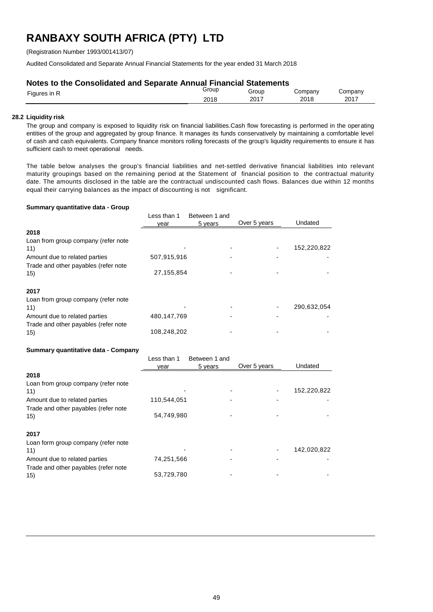(Registration Number 1993/001413/07)

Audited Consolidated and Separate Annual Financial Statements for the year ended 31 March 2018

#### **Notes to the Consolidated and Separate Annual Financial Statements**

| Group<br>$-$<br>Figures in R | Company<br>Company |
|------------------------------|--------------------|
| 2017                         | 2017               |
| 2018                         | 2018               |

#### **28.2 Liquidity risk**

The group and company is exposed to liquidity risk on financial liabilities.Cash flow forecasting is performed in the operating entities of the group and aggregated by group finance. It manages its funds conservatively by maintaining a comfortable level of cash and cash equivalents. Company finance monitors rolling forecasts of the group's liquidity requirements to ensure it has sufficient cash to meet operational needs.

The table below analyses the group's financial liabilities and net-settled derivative financial liabilities into relevant maturity groupings based on the remaining period at the Statement of financial position to the contractual maturity date. The amounts disclosed in the table are the contractual undiscounted cash flows. Balances due within 12 months equal their carrying balances as the impact of discounting is not significant.

#### **Summary quantitative data - Group**

|                                             | Less than 1<br>vear | Between 1 and<br>5 years | Over 5 years | Undated     |
|---------------------------------------------|---------------------|--------------------------|--------------|-------------|
| 2018                                        |                     |                          |              |             |
| Loan from group company (refer note<br>11)  |                     |                          |              | 152,220,822 |
| Amount due to related parties               | 507,915,916         |                          |              |             |
| Trade and other payables (refer note<br>15) | 27, 155, 854        |                          |              |             |
| 2017                                        |                     |                          |              |             |
| Loan from group company (refer note<br>11)  |                     |                          |              | 290,632,054 |
| Amount due to related parties               | 480,147,769         |                          |              |             |
| Trade and other payables (refer note<br>15) | 108,248,202         |                          |              |             |

#### **Summary quantitative data - Company**

|                                             | Less than 1<br>vear | Between 1 and<br>5 years | Over 5 years | Undated     |
|---------------------------------------------|---------------------|--------------------------|--------------|-------------|
| 2018                                        |                     |                          |              |             |
| Loan from group company (refer note<br>11)  |                     |                          |              | 152,220,822 |
| Amount due to related parties               | 110,544,051         |                          |              |             |
| Trade and other payables (refer note<br>15) | 54,749,980          |                          |              |             |
| 2017                                        |                     |                          |              |             |
| Loan form group company (refer note<br>11)  |                     |                          |              | 142,020,822 |
| Amount due to related parties               | 74,251,566          |                          |              |             |
| Trade and other payables (refer note<br>15) | 53,729,780          |                          |              |             |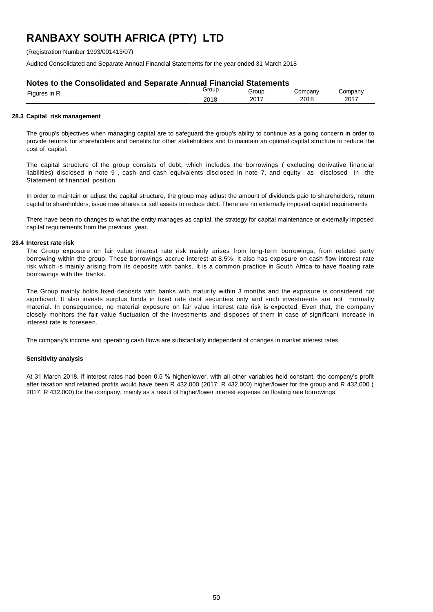(Registration Number 1993/001413/07)

Audited Consolidated and Separate Annual Financial Statements for the year ended 31 March 2018

#### **Notes to the Consolidated and Separate Annual Financial Statements**

| Figures in R | Grour | Grour | Company | Company |
|--------------|-------|-------|---------|---------|
|              | 2018  | 2017  | 2018    | 2017    |

#### **28.3 Capital risk management**

The group's objectives when managing capital are to safeguard the group's ability to continue as a going concern in order to provide returns for shareholders and benefits for other stakeholders and to maintain an optimal capital structure to reduce the cost of capital.

The capital structure of the group consists of debt, which includes the borrowings ( excluding derivative financial liabilities) disclosed in note 9 , cash and cash equivalents disclosed in note 7, and equity as disclosed in the Statement of financial position.

In order to maintain or adjust the capital structure, the group may adjust the amount of dividends paid to shareholders, return capital to shareholders, issue new shares or sell assets to reduce debt. There are no externally imposed capital requirements

There have been no changes to what the entity manages as capital, the strategy for capital maintenance or externally imposed capital requirements from the previous year.

#### **28.4 Interest rate risk**

The Group exposure on fair value interest rate risk mainly arises from long-term borrowings, from related party borrowing within the group. These borrowings accrue interest at 8.5%. It also has exposure on cash flow interest rate risk which is mainly arising from its deposits with banks. It is a common practice in South Africa to have floating rate borrowings with the banks.

The Group mainly holds fixed deposits with banks with maturity within 3 months and the exposure is considered not significant. It also invests surplus funds in fixed rate debt securities only and such investments are not normally material. In consequence, no material exposure on fair value interest rate risk is expected. Even that, the company closely monitors the fair value fluctuation of the investments and disposes of them in case of significant increase in interest rate is foreseen.

The company's income and operating cash flows are substantially independent of changes in market interest rates

#### **Sensitivity analysis**

At 31 March 2018, if interest rates had been 0.5 % higher/lower, with all other variables held constant, the company's profit after taxation and retained profits would have been R 432,000 (2017: R 432,000) higher/lower for the group and R 432,000 ( 2017: R 432,000) for the company, mainly as a result of higher/lower interest expense on floating rate borrowings.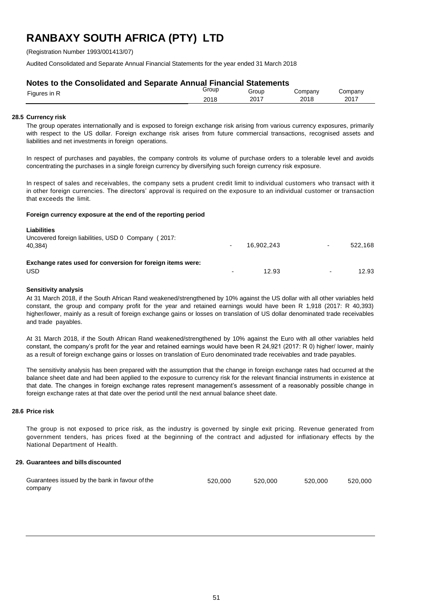(Registration Number 1993/001413/07)

Audited Consolidated and Separate Annual Financial Statements for the year ended 31 March 2018

#### **Notes to the Consolidated and Separate Annual Financial Statements**

| $- \cdot$<br>Figures in R | Grour | Group | Company | Company |
|---------------------------|-------|-------|---------|---------|
|                           | 2018  | 2017  | 2018    | 2017    |

#### **28.5 Currency risk**

The group operates internationally and is exposed to foreign exchange risk arising from various currency exposures, primarily with respect to the US dollar. Foreign exchange risk arises from future commercial transactions, recognised assets and liabilities and net investments in foreign operations.

In respect of purchases and payables, the company controls its volume of purchase orders to a tolerable level and avoids concentrating the purchases in a single foreign currency by diversifying such foreign currency risk exposure.

In respect of sales and receivables, the company sets a prudent credit limit to individual customers who transact with it in other foreign currencies. The directors' approval is required on the exposure to an individual customer or transaction that exceeds the limit.

#### **Foreign currency exposure at the end of the reporting period**

| Liabilities<br>Uncovered foreign liabilities, USD 0 Company (2017:<br>40.384) |                | 16.902.243 | -                        | 522.168 |
|-------------------------------------------------------------------------------|----------------|------------|--------------------------|---------|
| Exchange rates used for conversion for foreign items were:<br><b>USD</b>      | $\blacksquare$ | 12.93      | $\overline{\phantom{0}}$ | 12.93   |

#### **Sensitivity analysis**

At 31 March 2018, if the South African Rand weakened/strengthened by 10% against the US dollar with all other variables held constant, the group and company profit for the year and retained earnings would have been R 1,918 (2017: R 40,393) higher/lower, mainly as a result of foreign exchange gains or losses on translation of US dollar denominated trade receivables and trade payables.

At 31 March 2018, if the South African Rand weakened/strengthened by 10% against the Euro with all other variables held constant, the company's profit for the year and retained earnings would have been R 24,921 (2017: R 0) higher/ lower, mainly as a result of foreign exchange gains or losses on translation of Euro denominated trade receivables and trade payables.

The sensitivity analysis has been prepared with the assumption that the change in foreign exchange rates had occurred at the balance sheet date and had been applied to the exposure to currency risk for the relevant financial instruments in existence at that date. The changes in foreign exchange rates represent management's assessment of a reasonably possible change in foreign exchange rates at that date over the period until the next annual balance sheet date.

#### **28.6 Price risk**

The group is not exposed to price risk, as the industry is governed by single exit pricing. Revenue generated from government tenders, has prices fixed at the beginning of the contract and adjusted for inflationary effects by the National Department of Health.

#### **29. Guarantees and bills discounted**

| Guarantees issued by the bank in favour of the | 520,000 | 520.000 | 520.000 | 520.000 |
|------------------------------------------------|---------|---------|---------|---------|
| company                                        |         |         |         |         |